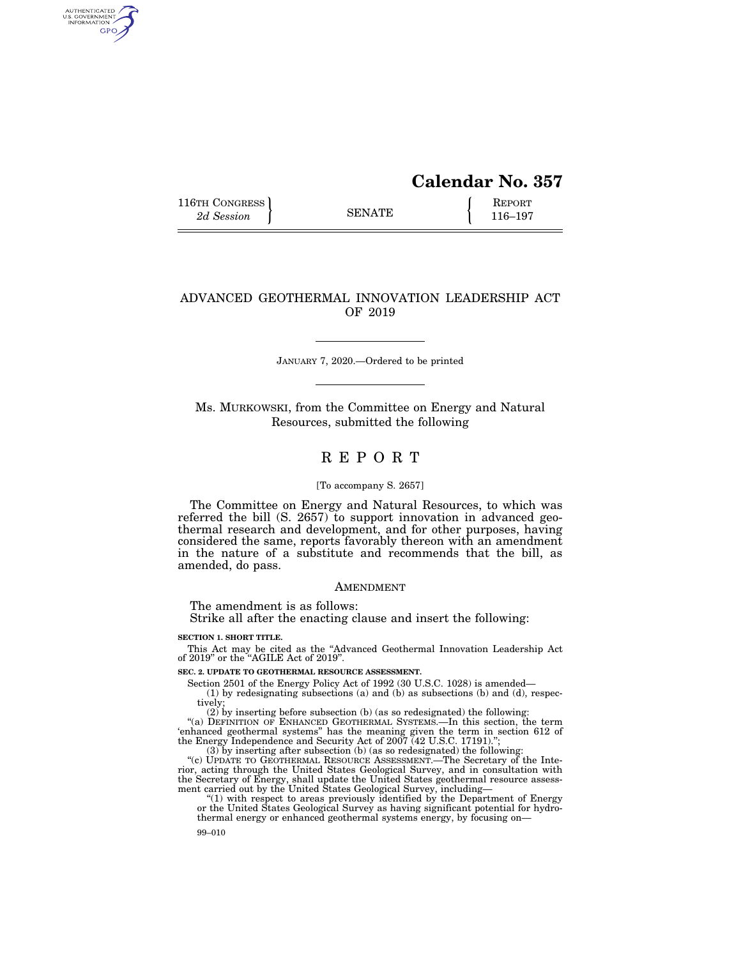# **Calendar No. 357**

116TH CONGRESS **REPORT** 2d Session **116–197** 

AUTHENTICATED<br>U.S. GOVERNMENT<br>INFORMATION GPO

# ADVANCED GEOTHERMAL INNOVATION LEADERSHIP ACT OF 2019

JANUARY 7, 2020.—Ordered to be printed

Ms. MURKOWSKI, from the Committee on Energy and Natural Resources, submitted the following

# R E P O R T

## [To accompany S. 2657]

The Committee on Energy and Natural Resources, to which was referred the bill (S. 2657) to support innovation in advanced geothermal research and development, and for other purposes, having considered the same, reports favorably thereon with an amendment in the nature of a substitute and recommends that the bill, as amended, do pass.

#### AMENDMENT

The amendment is as follows:

Strike all after the enacting clause and insert the following:

**SECTION 1. SHORT TITLE.** 

This Act may be cited as the "Advanced Geothermal Innovation Leadership Act of 2019" or the "AGILE Act of 2019".

**SEC. 2. UPDATE TO GEOTHERMAL RESOURCE ASSESSMENT.** 

Section 2501 of the Energy Policy Act of 1992 (30 U.S.C. 1028) is amended—

(1) by redesignating subsections (a) and (b) as subsections (b) and (d), respectively;

(2) by inserting before subsection (b) (as so redesignated) the following:<br>"(a) DEFINITION OF ENHANCED GEOTHERMAL SYSTEMS.—In this section, the term<br>"enhanced geothermal systems" has the meaning given the term in section (3) by inserting after subsection (b) (as so redesignated) the following:

"(c) UPDATE TO GEOTHERMAL RESOURCE ASSESSMENT.—The Secretary of the Interior, acting through the United States Geological Survey, and in consultation with the Secretary of Energy, shall update the United States geothermal resource assess-

ment carried out by the United States Geological Survey, including—<br>"(1) with respect to areas previously identified by the Department of Energy<br>or the United States Geological Survey as having significant potential for hy thermal energy or enhanced geothermal systems energy, by focusing on-

99–010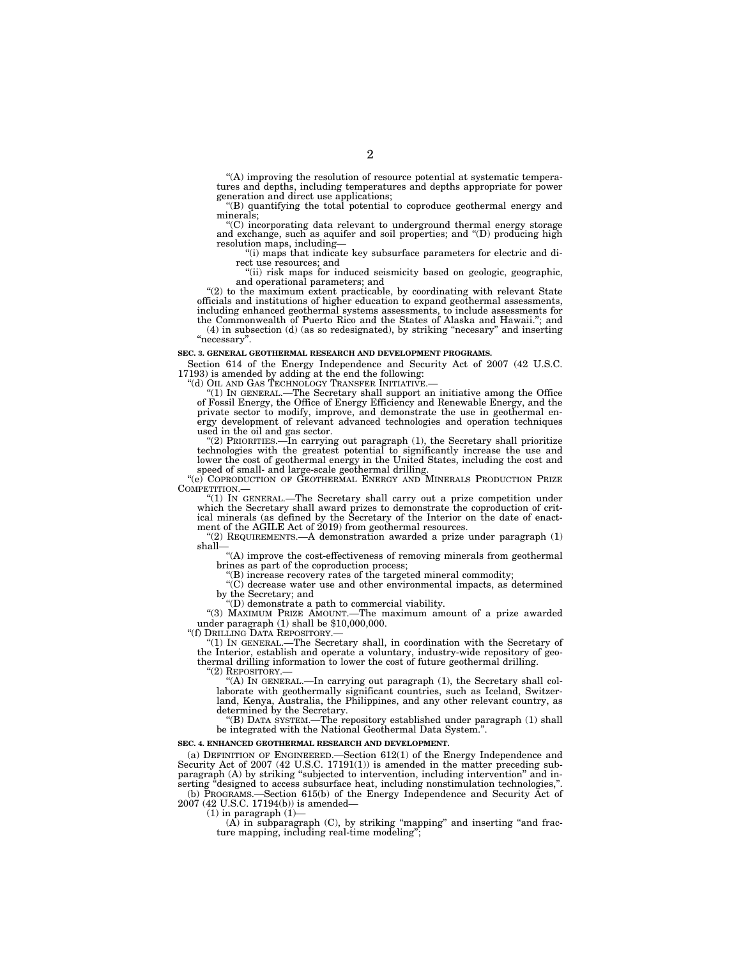"(A) improving the resolution of resource potential at systematic temperatures and depths, including temperatures and depths appropriate for power generation and direct use applications;

''(B) quantifying the total potential to coproduce geothermal energy and minerals;

''(C) incorporating data relevant to underground thermal energy storage and exchange, such as aquifer and soil properties; and ''(D) producing high resolution maps, including—

"(i) maps that indicate key subsurface parameters for electric and direct use resources; and

"(ii) risk maps for induced seismicity based on geologic, geographic, and operational parameters; and

''(2) to the maximum extent practicable, by coordinating with relevant State officials and institutions of higher education to expand geothermal assessments, including enhanced geothermal systems assessments, to include assessments for the Commonwealth of Puerto Rico and the States of Alaska and Hawaii.''; and (4) in subsection (d) (as so redesignated), by striking ''necesary'' and inserting

''necessary''.

#### **SEC. 3. GENERAL GEOTHERMAL RESEARCH AND DEVELOPMENT PROGRAMS.**

Section 614 of the Energy Independence and Security Act of 2007 (42 U.S.C. 17193) is amended by adding at the end the following:

''(d) OIL AND GAS TECHNOLOGY TRANSFER INITIATIVE.— ''(1) IN GENERAL.—The Secretary shall support an initiative among the Office of Fossil Energy, the Office of Energy Efficiency and Renewable Energy, and the private sector to modify, improve, and demonstrate the use in geothermal energy development of relevant advanced technologies and operation techniques used in the oil and gas sector.

''(2) PRIORITIES.—In carrying out paragraph (1), the Secretary shall prioritize technologies with the greatest potential to significantly increase the use and lower the cost of geothermal energy in the United States, including the cost and speed of small- and large-scale geothermal drilling.

"(e) COPRODUCTION OF GEOTHERMAL ENERGY AND MINERALS PRODUCTION PRIZE COMPETITION.—

COMPETITION.—<br>
"(1) IN GENERAL.—The Secretary shall carry out a prize competition under<br>
which the Secretary shall award prizes to demonstrate the coproduction of crit-<br>
ical minerals (as defined by the Secretary of the In ment of the AGILE Act of 2019) from geothermal resources.

 $(2)$  REQUIREMENTS.—A demonstration awarded a prize under paragraph  $(1)$ shall—

 $\cdot$ "(A) improve the cost-effectiveness of removing minerals from geothermal brines as part of the coproduction process;

 $f(B)$  increase recovery rates of the targeted mineral commodity;

''(C) decrease water use and other environmental impacts, as determined by the Secretary; and

''(D) demonstrate a path to commercial viability.

''(3) MAXIMUM PRIZE AMOUNT.—The maximum amount of a prize awarded under paragraph (1) shall be \$10,000,000.

''(f) DRILLING DATA REPOSITORY.—

''(1) IN GENERAL.—The Secretary shall, in coordination with the Secretary of the Interior, establish and operate a voluntary, industry-wide repository of geothermal drilling information to lower the cost of future geothermal drilling.

''(2) REPOSITORY.—

''(A) IN GENERAL.—In carrying out paragraph (1), the Secretary shall collaborate with geothermally significant countries, such as Iceland, Switzerland, Kenya, Australia, the Philippines, and any other relevant country, as determined by the Secretary.

''(B) DATA SYSTEM.—The repository established under paragraph (1) shall be integrated with the National Geothermal Data System.''.

#### **SEC. 4. ENHANCED GEOTHERMAL RESEARCH AND DEVELOPMENT.**

(a) DEFINITION OF ENGINEERED.—Section 612(1) of the Energy Independence and Security Act of 2007 (42 U.S.C. 17191(1)) is amended in the matter preceding subparagraph (A) by striking "subjected to intervention, including intervention" and inserting "designed to access subsurface heat, including nonstimulation technologies,"

(b) PROGRAMS.—Section 615(b) of the Energy Independence and Security Act of 2007 (42 U.S.C. 17194(b)) is amended—

 $(1)$  in paragraph  $(1)$ —

 $(A)$  in subparagraph  $(C)$ , by striking "mapping" and inserting "and fracture mapping, including real-time modeling'';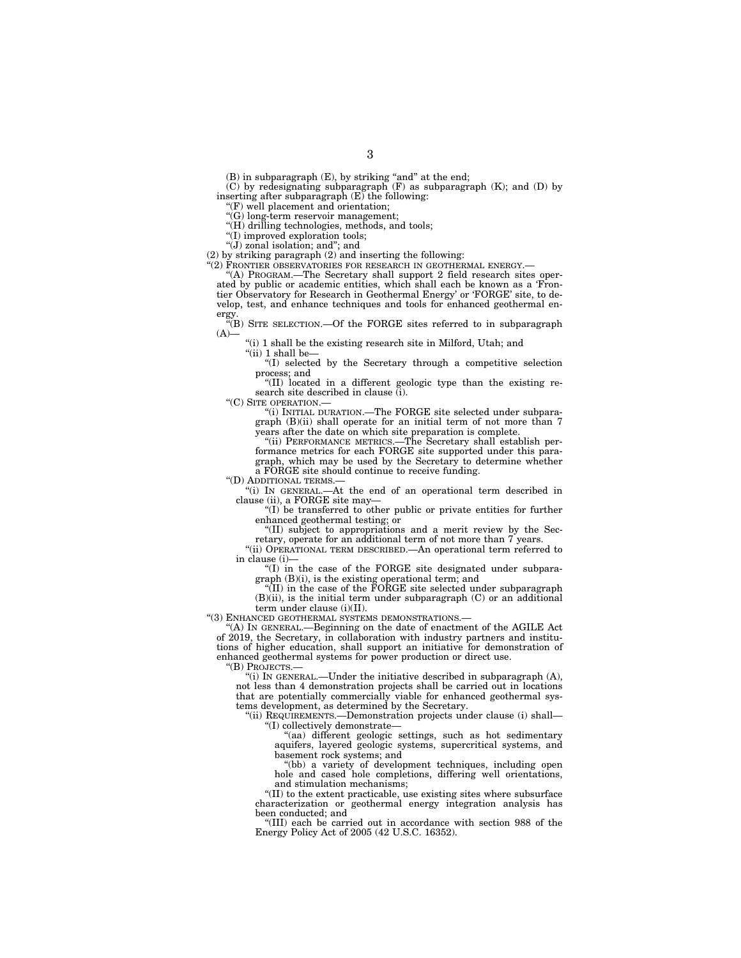$(B)$  in subparagraph  $(E)$ , by striking "and" at the end;

(C) by redesignating subparagraph (F) as subparagraph (K); and (D) by inserting after subparagraph  $(E)$  the following:

''(F) well placement and orientation;

''(G) long-term reservoir management;

''(H) drilling technologies, methods, and tools;

''(I) improved exploration tools; " $(J)$  zonal isolation; and"; and

(2) by striking paragraph  $(2)$  and inserting the following:

''(2) FRONTIER OBSERVATORIES FOR RESEARCH IN GEOTHERMAL ENERGY.—

''(A) PROGRAM.—The Secretary shall support 2 field research sites operated by public or academic entities, which shall each be known as a 'Frontier Observatory for Research in Geothermal Energy' or 'FORGE' site, to develop, test, and enhance techniques and tools for enhanced geothermal energy.

''(B) SITE SELECTION.—Of the FORGE sites referred to in subparagraph  $(A)$ —

''(i) 1 shall be the existing research site in Milford, Utah; and

" $(ii)$  1 shall be-

''(I) selected by the Secretary through a competitive selection process; and

''(II) located in a different geologic type than the existing research site described in clause (i).

''(C) SITE OPERATION.—

''(i) INITIAL DURATION.—The FORGE site selected under subparagraph (B)(ii) shall operate for an initial term of not more than 7 years after the date on which site preparation is complete.

''(ii) PERFORMANCE METRICS.—The Secretary shall establish performance metrics for each FORGE site supported under this paragraph, which may be used by the Secretary to determine whether a FORGE site should continue to receive funding.

''(D) ADDITIONAL TERMS.—

''(i) IN GENERAL.—At the end of an operational term described in clause (ii), a FORGE site may-

''(I) be transferred to other public or private entities for further enhanced geothermal testing; or

''(II) subject to appropriations and a merit review by the Secretary, operate for an additional term of not more than 7 years.

''(ii) OPERATIONAL TERM DESCRIBED.—An operational term referred to in clause (i)—

" $($ I) in the case of the FORGE site designated under subparagraph (B)(i), is the existing operational term; and

"(II) in the case of the FORGE site selected under subparagraph  $(B)(ii)$ , is the initial term under subparagraph  $(C)$  or an additional term under clause (i)(II).

''(3) ENHANCED GEOTHERMAL SYSTEMS DEMONSTRATIONS.—

''(A) IN GENERAL.—Beginning on the date of enactment of the AGILE Act of 2019, the Secretary, in collaboration with industry partners and institutions of higher education, shall support an initiative for demonstration of enhanced geothermal systems for power production or direct use.

''(B) PROJECTS.—

"(i) IN GENERAL.—Under the initiative described in subparagraph  $(A)$ , not less than 4 demonstration projects shall be carried out in locations that are potentially commercially viable for enhanced geothermal systems development, as determined by the Secretary.

''(ii) REQUIREMENTS.—Demonstration projects under clause (i) shall— ''(I) collectively demonstrate—

''(aa) different geologic settings, such as hot sedimentary aquifers, layered geologic systems, supercritical systems, and basement rock systems; and

''(bb) a variety of development techniques, including open hole and cased hole completions, differing well orientations, and stimulation mechanisms;

''(II) to the extent practicable, use existing sites where subsurface characterization or geothermal energy integration analysis has been conducted; and

''(III) each be carried out in accordance with section 988 of the Energy Policy Act of 2005 (42 U.S.C. 16352).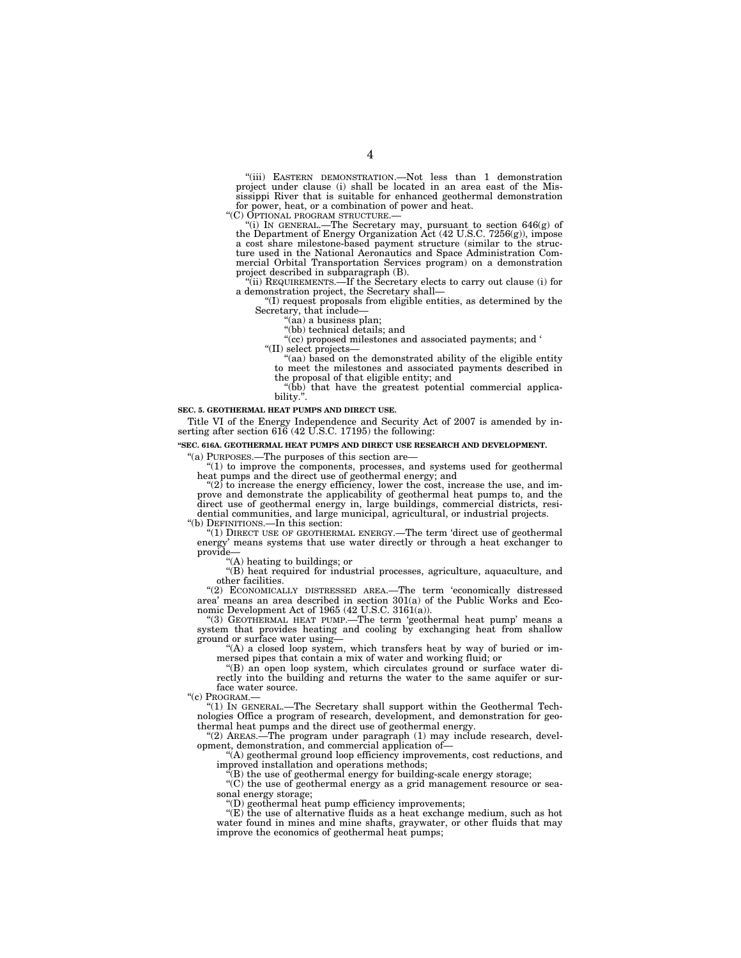''(iii) EASTERN DEMONSTRATION.—Not less than 1 demonstration project under clause (i) shall be located in an area east of the Mississippi River that is suitable for enhanced geothermal demonstration for power, heat, or a combination of power and heat.

''(C) OPTIONAL PROGRAM STRUCTURE.— ''(i) IN GENERAL.—The Secretary may, pursuant to section 646(g) of the Department of Energy Organization Act (42 U.S.C. 7256(g)), impose a cost share milestone-based payment structure (similar to the structure used in the National Aeronautics and Space Administration Com-mercial Orbital Transportation Services program) on a demonstration project described in subparagraph (B).

''(ii) REQUIREMENTS.—If the Secretary elects to carry out clause (i) for a demonstration project, the Secretary shall—

''(I) request proposals from eligible entities, as determined by the Secretary, that include—

''(aa) a business plan; ''(bb) technical details; and

''(cc) proposed milestones and associated payments; and ' ''(II) select projects—

"(aa) based on the demonstrated ability of the eligible entity to meet the milestones and associated payments described in

the proposal of that eligible entity; and ''(bb) that have the greatest potential commercial applicability.".

#### **SEC. 5. GEOTHERMAL HEAT PUMPS AND DIRECT USE.**

Title VI of the Energy Independence and Security Act of 2007 is amended by in-serting after section 616 (42 U.S.C. 17195) the following:

#### **''SEC. 616A. GEOTHERMAL HEAT PUMPS AND DIRECT USE RESEARCH AND DEVELOPMENT.**

''(a) PURPOSES.—The purposes of this section are—

 $''(1)$  to improve the components, processes, and systems used for geothermal heat pumps and the direct use of geothermal energy; and

 $''(2)$  to increase the energy efficiency, lower the cost, increase the use, and im-<br>prove and demonstrate the applicability of geothermal heat pumps to, and the direct use of geothermal energy in, large buildings, commercial districts, resi-dential communities, and large municipal, agricultural, or industrial projects. ''(b) DEFINITIONS.—In this section:

''(1) DIRECT USE OF GEOTHERMAL ENERGY.—The term 'direct use of geothermal energy' means systems that use water directly or through a heat exchanger to provide

''(A) heating to buildings; or

''(B) heat required for industrial processes, agriculture, aquaculture, and other facilities.

''(2) ECONOMICALLY DISTRESSED AREA.—The term 'economically distressed area' means an area described in section 301(a) of the Public Works and Economic Development Act of 1965 (42 U.S.C.  $3161(a)$ ).

''(3) GEOTHERMAL HEAT PUMP.—The term 'geothermal heat pump' means a system that provides heating and cooling by exchanging heat from shallow ground or surface water using—

"(A) a closed loop system, which transfers heat by way of buried or immersed pipes that contain a mix of water and working fluid; or

''(B) an open loop system, which circulates ground or surface water directly into the building and returns the water to the same aquifer or surface water source.

 $C$ <sup>''</sup>(c) PROGRAM.

''(1) IN GENERAL.—The Secretary shall support within the Geothermal Technologies Office a program of research, development, and demonstration for geothermal heat pumps and the direct use of geothermal energy.

''(2) AREAS.—The program under paragraph (1) may include research, development, demonstration, and commercial application of—

''(A) geothermal ground loop efficiency improvements, cost reductions, and improved installation and operations methods;

(B) the use of geothermal energy for building-scale energy storage;

''(C) the use of geothermal energy as a grid management resource or seasonal energy storage;

''(D) geothermal heat pump efficiency improvements;

 $E(E)$  the use of alternative fluids as a heat exchange medium, such as hot water found in mines and mine shafts, graywater, or other fluids that may improve the economics of geothermal heat pumps;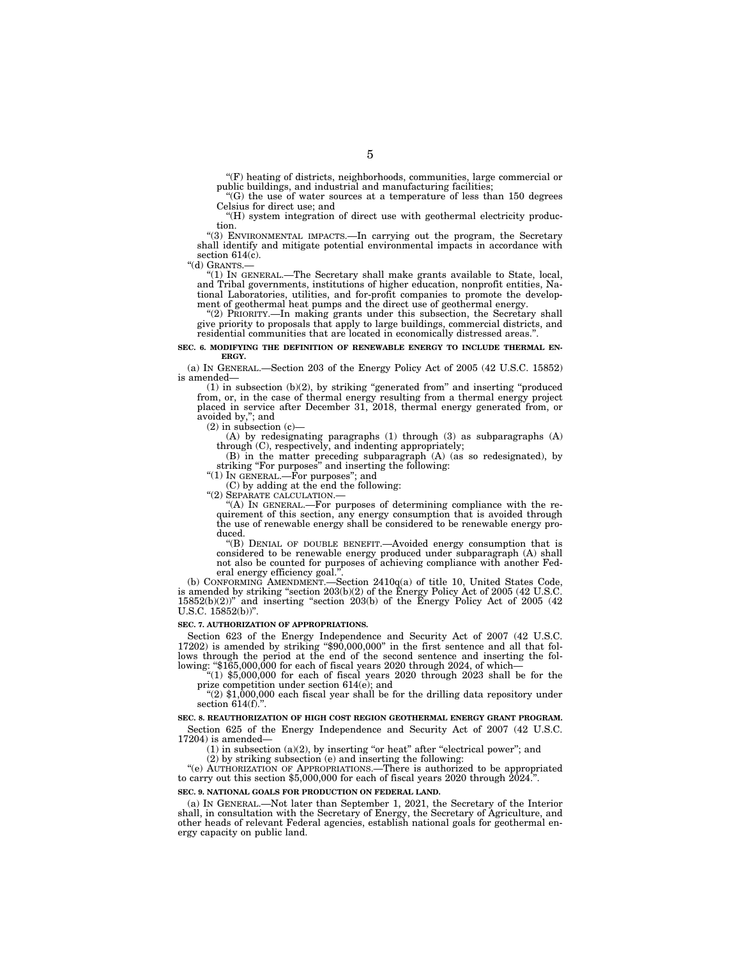''(F) heating of districts, neighborhoods, communities, large commercial or public buildings, and industrial and manufacturing facilities;

 $(G)$  the use of water sources at a temperature of less than 150 degrees Celsius for direct use; and

''(H) system integration of direct use with geothermal electricity production.

''(3) ENVIRONMENTAL IMPACTS.—In carrying out the program, the Secretary shall identify and mitigate potential environmental impacts in accordance with section  $614(c)$ .

''(d) GRANTS.—

''(1) IN GENERAL.—The Secretary shall make grants available to State, local, and Tribal governments, institutions of higher education, nonprofit entities, National Laboratories, utilities, and for-profit companies to promote the development of geothermal heat pumps and the direct use of geothermal energy.

''(2) PRIORITY.—In making grants under this subsection, the Secretary shall give priority to proposals that apply to large buildings, commercial districts, and residential communities that are located in economically distressed areas.''.

#### **SEC. 6. MODIFYING THE DEFINITION OF RENEWABLE ENERGY TO INCLUDE THERMAL EN-ERGY.**

(a) IN GENERAL.—Section 203 of the Energy Policy Act of 2005 (42 U.S.C. 15852) is amended—

(1) in subsection (b)(2), by striking ''generated from'' and inserting ''produced from, or, in the case of thermal energy resulting from a thermal energy project placed in service after December 31, 2018, thermal energy generated from, or avoided by,''; and

(2) in subsection (c)—

(A) by redesignating paragraphs (1) through (3) as subparagraphs (A) through (C), respectively, and indenting appropriately;

(B) in the matter preceding subparagraph (A) (as so redesignated), by striking "For purposes" and inserting the following:

" $(1)$  In GENERAL.—For purposes"; and

(C) by adding at the end the following:

''(2) SEPARATE CALCULATION.—

"(A) IN GENERAL.—For purposes of determining compliance with the requirement of this section, any energy consumption that is avoided through the use of renewable energy shall be considered to be renewable energy produced.

''(B) DENIAL OF DOUBLE BENEFIT.—Avoided energy consumption that is considered to be renewable energy produced under subparagraph (A) shall not also be counted for purposes of achieving compliance with another Federal energy efficiency goal.''.

(b) CONFORMING AMENDMENT.—Section 2410q(a) of title 10, United States Code, is amended by striking "section 203(b)(2) of the Energy Policy Act of 2005 (42 U.S.C.  $15852(b)(2)$ " and inserting "section  $203(b)$  of the Energy Policy Act of  $2005(42)$ U.S.C. 15852(b))''.

#### **SEC. 7. AUTHORIZATION OF APPROPRIATIONS.**

Section 623 of the Energy Independence and Security Act of 2007 (42 U.S.C. 17202) is amended by striking ''\$90,000,000'' in the first sentence and all that follows through the period at the end of the second sentence and inserting the following: " $$165,000,000$  for each of fiscal years 2020 through 2024, of which—

" $(1)$  \$5,000,000 for each of fiscal years 2020 through 2023 shall be for the prize competition under section 614(e); and

" $(2)$  \$1,000,000 each fiscal year shall be for the drilling data repository under section 614(f).".

#### **SEC. 8. REAUTHORIZATION OF HIGH COST REGION GEOTHERMAL ENERGY GRANT PROGRAM.**  Section 625 of the Energy Independence and Security Act of 2007 (42 U.S.C.

17204) is amended—

 $(1)$  in subsection  $(a)(2)$ , by inserting "or heat" after "electrical power"; and

(2) by striking subsection (e) and inserting the following:

''(e) AUTHORIZATION OF APPROPRIATIONS.—There is authorized to be appropriated to carry out this section \$5,000,000 for each of fiscal years 2020 through 2024.''.

#### **SEC. 9. NATIONAL GOALS FOR PRODUCTION ON FEDERAL LAND.**

(a) IN GENERAL.—Not later than September 1, 2021, the Secretary of the Interior shall, in consultation with the Secretary of Energy, the Secretary of Agriculture, and other heads of relevant Federal agencies, establish national goals for geothermal energy capacity on public land.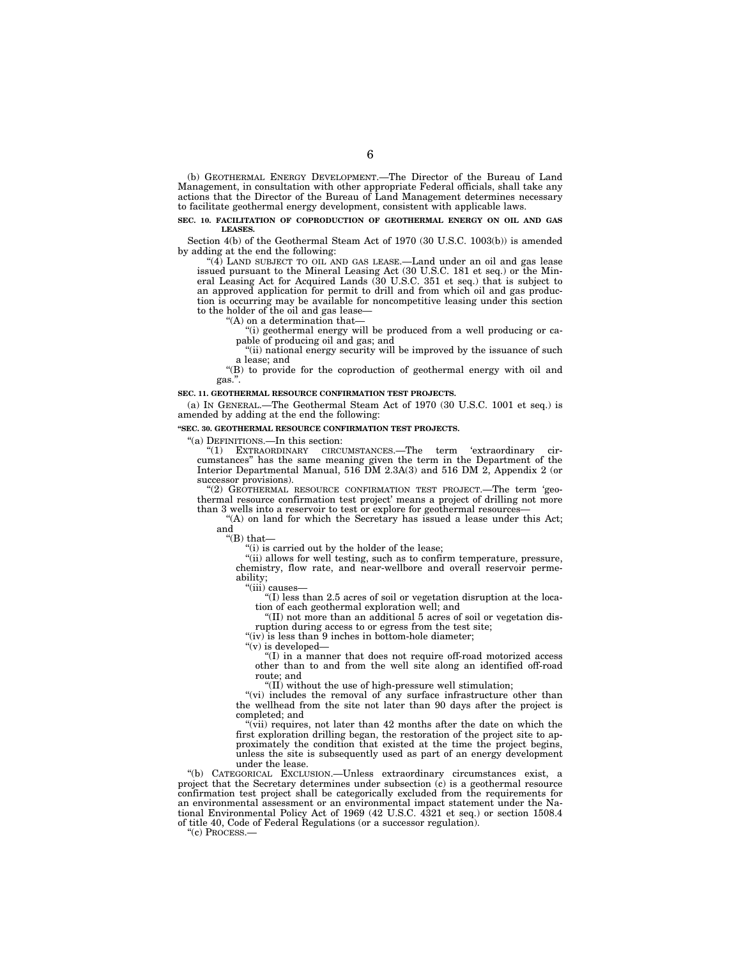(b) GEOTHERMAL ENERGY DEVELOPMENT.—The Director of the Bureau of Land Management, in consultation with other appropriate Federal officials, shall take any actions that the Director of the Bureau of Land Management determines necessary to facilitate geothermal energy development, consistent with applicable laws.

#### **SEC. 10. FACILITATION OF COPRODUCTION OF GEOTHERMAL ENERGY ON OIL AND GAS LEASES.**

Section 4(b) of the Geothermal Steam Act of 1970 (30 U.S.C. 1003(b)) is amended by adding at the end the following:

''(4) LAND SUBJECT TO OIL AND GAS LEASE.—Land under an oil and gas lease issued pursuant to the Mineral Leasing Act (30 U.S.C. 181 et seq.) or the Mineral Leasing Act for Acquired Lands (30 U.S.C. 351 et seq.) that is subject to an approved application for permit to drill and from which oil and gas production is occurring may be available for noncompetitive leasing under this section to the holder of the oil and gas lease—

''(A) on a determination that—

''(i) geothermal energy will be produced from a well producing or capable of producing oil and gas; and

"(ii) national energy security will be improved by the issuance of such a lease; and

''(B) to provide for the coproduction of geothermal energy with oil and gas.''.

#### **SEC. 11. GEOTHERMAL RESOURCE CONFIRMATION TEST PROJECTS.**

(a) IN GENERAL.—The Geothermal Steam Act of 1970 (30 U.S.C. 1001 et seq.) is amended by adding at the end the following:

#### **''SEC. 30. GEOTHERMAL RESOURCE CONFIRMATION TEST PROJECTS.**

''(a) DEFINITIONS.—In this section:

''(1) EXTRAORDINARY CIRCUMSTANCES.—The term 'extraordinary circumstances'' has the same meaning given the term in the Department of the Interior Departmental Manual, 516 DM 2.3A(3) and 516 DM 2, Appendix 2 (or successor provisions).

''(2) GEOTHERMAL RESOURCE CONFIRMATION TEST PROJECT.—The term 'geothermal resource confirmation test project' means a project of drilling not more than 3 wells into a reservoir to test or explore for geothermal resources—

''(A) on land for which the Secretary has issued a lease under this Act; and

''(B) that—

"(i) is carried out by the holder of the lease;

"(ii) allows for well testing, such as to confirm temperature, pressure, chemistry, flow rate, and near-wellbore and overall reservoir permeability;

''(iii) causes—

 $^{\prime\prime}$ (I) less than 2.5 acres of soil or vegetation disruption at the location of each geothermal exploration well; and

''(II) not more than an additional 5 acres of soil or vegetation disruption during access to or egress from the test site;

" $(iv)$  is less than 9 inches in bottom-hole diameter;

''(v) is developed—

''(I) in a manner that does not require off-road motorized access other than to and from the well site along an identified off-road route; and

''(II) without the use of high-pressure well stimulation;

"(vi) includes the removal of any surface infrastructure other than the wellhead from the site not later than 90 days after the project is completed; and

" $(vii)$  requires, not later than 42 months after the date on which the first exploration drilling began, the restoration of the project site to approximately the condition that existed at the time the project begins, unless the site is subsequently used as part of an energy development under the lease.

''(b) CATEGORICAL EXCLUSION.—Unless extraordinary circumstances exist, a project that the Secretary determines under subsection (c) is a geothermal resource confirmation test project shall be categorically excluded from the requirements for an environmental assessment or an environmental impact statement under the National Environmental Policy Act of 1969 (42 U.S.C. 4321 et seq.) or section 1508.4 of title 40, Code of Federal Regulations (or a successor regulation).

''(c) PROCESS.—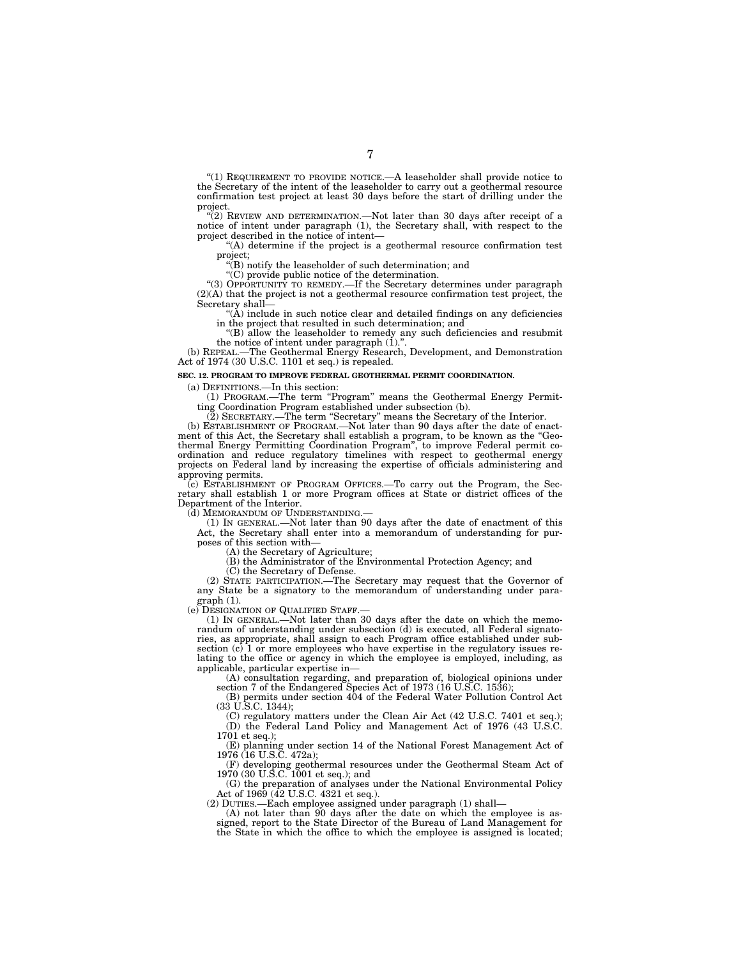''(1) REQUIREMENT TO PROVIDE NOTICE.—A leaseholder shall provide notice to the Secretary of the intent of the leaseholder to carry out a geothermal resource confirmation test project at least 30 days before the start of drilling under the project.

''(2) REVIEW AND DETERMINATION.—Not later than 30 days after receipt of a notice of intent under paragraph (1), the Secretary shall, with respect to the project described in the notice of intent—

''(A) determine if the project is a geothermal resource confirmation test project;

''(B) notify the leaseholder of such determination; and

''(C) provide public notice of the determination.

''(3) OPPORTUNITY TO REMEDY.—If the Secretary determines under paragraph  $(2)$ (A) that the project is not a geothermal resource confirmation test project, the Secretary shall—

 $\mathring{A}$ ) include in such notice clear and detailed findings on any deficiencies in the project that resulted in such determination; and

''(B) allow the leaseholder to remedy any such deficiencies and resubmit the notice of intent under paragraph (1).''.

(b) REPEAL.—The Geothermal Energy Research, Development, and Demonstration Act of 1974 (30 U.S.C. 1101 et seq.) is repealed.

#### **SEC. 12. PROGRAM TO IMPROVE FEDERAL GEOTHERMAL PERMIT COORDINATION.**

(a) DEFINITIONS.—In this section:

(1) PROGRAM.—The term ''Program'' means the Geothermal Energy Permitting Coordination Program established under subsection (b).

(2) SECRETARY.—The term ''Secretary'' means the Secretary of the Interior.

(b) ESTABLISHMENT OF PROGRAM.—Not later than 90 days after the date of enactment of this Act, the Secretary shall establish a program, to be known as the ''Geothermal Energy Permitting Coordination Program'', to improve Federal permit coordination and reduce regulatory timelines with respect to geothermal energy projects on Federal land by increasing the expertise of officials administering and approving permits.

(c) ESTABLISHMENT OF PROGRAM OFFICES.—To carry out the Program, the Secretary shall establish 1 or more Program offices at State or district offices of the Department of the Interior.

(d) MEMORANDUM OF UNDERSTANDING.

(1) IN GENERAL.—Not later than 90 days after the date of enactment of this Act, the Secretary shall enter into a memorandum of understanding for purposes of this section with—

(A) the Secretary of Agriculture;

(B) the Administrator of the Environmental Protection Agency; and

(C) the Secretary of Defense.

(2) STATE PARTICIPATION.—The Secretary may request that the Governor of any State be a signatory to the memorandum of understanding under paragraph (1).

(e) DESIGNATION OF QUALIFIED STAFF.—

(1) IN GENERAL.—Not later than 30 days after the date on which the memorandum of understanding under subsection (d) is executed, all Federal signatories, as appropriate, shall assign to each Program office established under subsection (c) 1 or more employees who have expertise in the regulatory issues relating to the office or agency in which the employee is employed, including, as applicable, particular expertise in—

(A) consultation regarding, and preparation of, biological opinions under section 7 of the Endangered Species Act of 1973 (16 U.S.C. 1536);

(B) permits under section 404 of the Federal Water Pollution Control Act (33 U.S.C. 1344);

(C) regulatory matters under the Clean Air Act (42 U.S.C. 7401 et seq.); (D) the Federal Land Policy and Management Act of 1976 (43 U.S.C. 1701 et seq.);

(E) planning under section 14 of the National Forest Management Act of 1976 (16 U.S.C. 472a);

(F) developing geothermal resources under the Geothermal Steam Act of 1970 (30 U.S.C. 1001 et seq.); and

(G) the preparation of analyses under the National Environmental Policy Act of 1969 (42 U.S.C. 4321 et seq.).

(2) DUTIES.—Each employee assigned under paragraph (1) shall—

(A) not later than 90 days after the date on which the employee is assigned, report to the State Director of the Bureau of Land Management for the State in which the office to which the employee is assigned is located;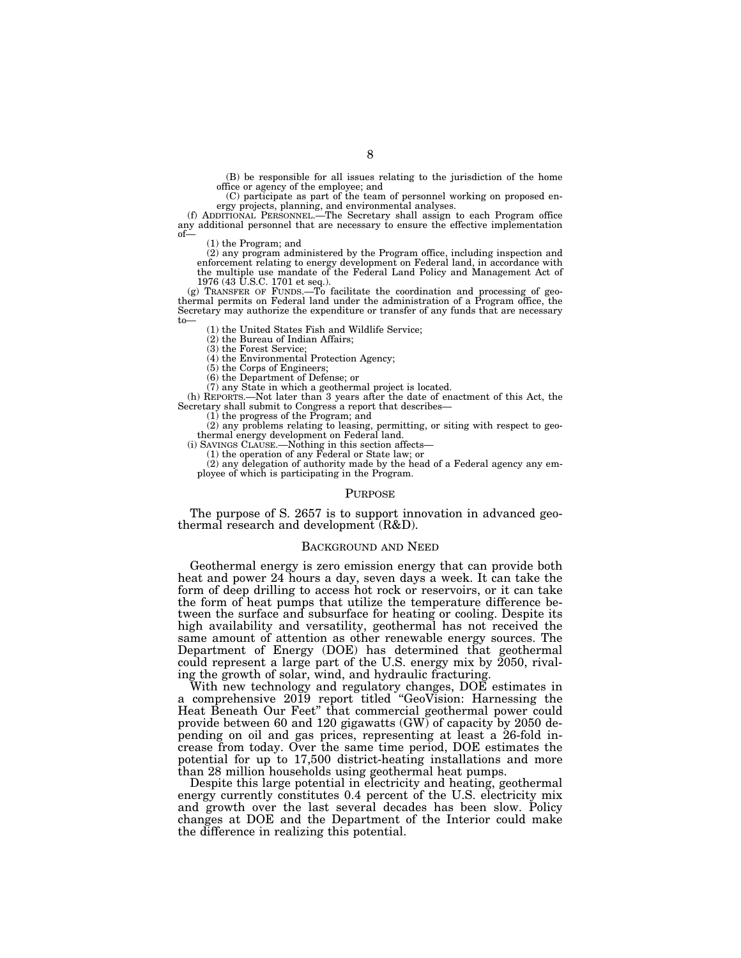(B) be responsible for all issues relating to the jurisdiction of the home office or agency of the employee; and

(C) participate as part of the team of personnel working on proposed en-

ergy projects, planning, and environmental analyses. (f) ADDITIONAL PERSONNEL.—The Secretary shall assign to each Program office any additional personnel that are necessary to ensure the effective implementation of—

(1) the Program; and

(2) any program administered by the Program office, including inspection and enforcement relating to energy development on Federal land, in accordance with the multiple use mandate of the Federal Land Policy and Management

1976 (43 U.S.C. 1701 et seq.). (g) TRANSFER OF FUNDS.—To facilitate the coordination and processing of geothermal permits on Federal land under the administration of a Program office, the Secretary may authorize the expenditure or transfer of any funds that are necessary to—

(1) the United States Fish and Wildlife Service;

(2) the Bureau of Indian Affairs; (3) the Forest Service;

(4) the Environmental Protection Agency;

(5) the Corps of Engineers;

(6) the Department of Defense; or

(7) any State in which a geothermal project is located.

(h) REPORTS.—Not later than 3 years after the date of enactment of this Act, the Secretary shall submit to Congress a report that describes

 $(1)$  the progress of the Program; and

(2) any problems relating to leasing, permitting, or siting with respect to geo-thermal energy development on Federal land.

(i) SAVINGS CLAUSE.—Nothing in this section affects— (1) the operation of any Federal or State law; or (2) any delegation of authority made by the head of a Federal agency any employee of which is participating in the Program.

#### PURPOSE

The purpose of S. 2657 is to support innovation in advanced geothermal research and development  $(R&D)$ .

#### BACKGROUND AND NEED

Geothermal energy is zero emission energy that can provide both heat and power 24 hours a day, seven days a week. It can take the form of deep drilling to access hot rock or reservoirs, or it can take the form of heat pumps that utilize the temperature difference between the surface and subsurface for heating or cooling. Despite its high availability and versatility, geothermal has not received the same amount of attention as other renewable energy sources. The Department of Energy (DOE) has determined that geothermal could represent a large part of the U.S. energy mix by 2050, rivaling the growth of solar, wind, and hydraulic fracturing.

With new technology and regulatory changes, DOE estimates in a comprehensive 2019 report titled ''GeoVision: Harnessing the Heat Beneath Our Feet'' that commercial geothermal power could provide between 60 and 120 gigawatts  $(GW)$  of capacity by 2050 depending on oil and gas prices, representing at least a 26-fold increase from today. Over the same time period, DOE estimates the potential for up to 17,500 district-heating installations and more than 28 million households using geothermal heat pumps.

Despite this large potential in electricity and heating, geothermal energy currently constitutes 0.4 percent of the U.S. electricity mix and growth over the last several decades has been slow. Policy changes at DOE and the Department of the Interior could make the difference in realizing this potential.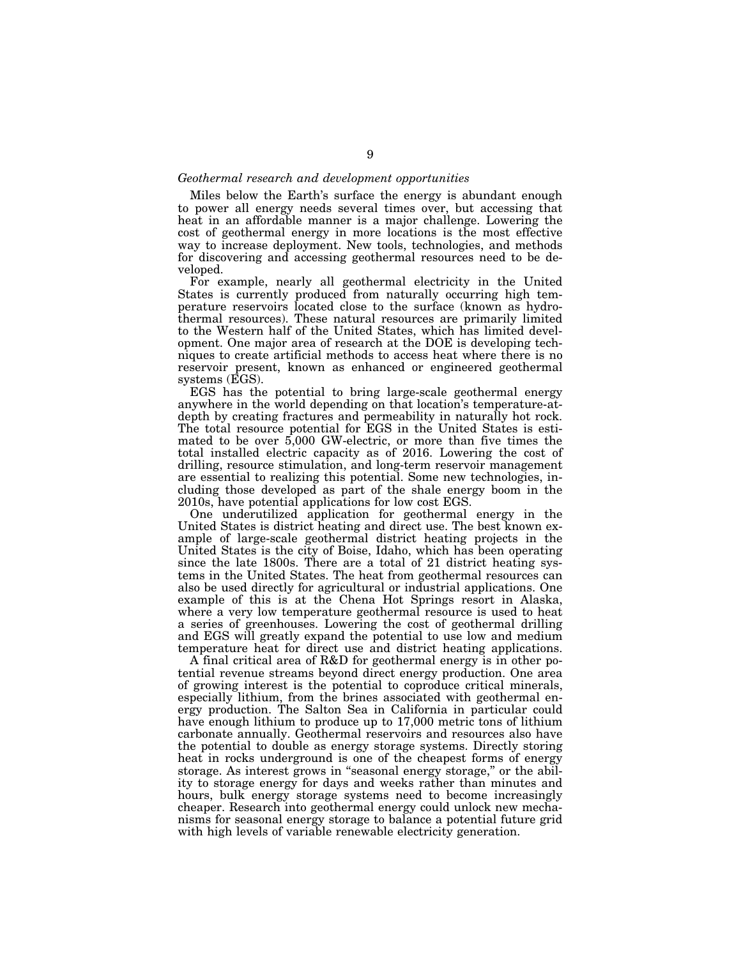#### *Geothermal research and development opportunities*

Miles below the Earth's surface the energy is abundant enough to power all energy needs several times over, but accessing that heat in an affordable manner is a major challenge. Lowering the cost of geothermal energy in more locations is the most effective way to increase deployment. New tools, technologies, and methods for discovering and accessing geothermal resources need to be developed.

For example, nearly all geothermal electricity in the United States is currently produced from naturally occurring high temperature reservoirs located close to the surface (known as hydrothermal resources). These natural resources are primarily limited to the Western half of the United States, which has limited development. One major area of research at the DOE is developing techniques to create artificial methods to access heat where there is no reservoir present, known as enhanced or engineered geothermal systems (EGS).

EGS has the potential to bring large-scale geothermal energy anywhere in the world depending on that location's temperature-atdepth by creating fractures and permeability in naturally hot rock. The total resource potential for EGS in the United States is estimated to be over 5,000 GW-electric, or more than five times the total installed electric capacity as of 2016. Lowering the cost of drilling, resource stimulation, and long-term reservoir management are essential to realizing this potential. Some new technologies, including those developed as part of the shale energy boom in the 2010s, have potential applications for low cost EGS.

One underutilized application for geothermal energy in the United States is district heating and direct use. The best known example of large-scale geothermal district heating projects in the United States is the city of Boise, Idaho, which has been operating since the late 1800s. There are a total of 21 district heating systems in the United States. The heat from geothermal resources can also be used directly for agricultural or industrial applications. One example of this is at the Chena Hot Springs resort in Alaska, where a very low temperature geothermal resource is used to heat a series of greenhouses. Lowering the cost of geothermal drilling and EGS will greatly expand the potential to use low and medium temperature heat for direct use and district heating applications.

A final critical area of R&D for geothermal energy is in other potential revenue streams beyond direct energy production. One area of growing interest is the potential to coproduce critical minerals, especially lithium, from the brines associated with geothermal energy production. The Salton Sea in California in particular could have enough lithium to produce up to 17,000 metric tons of lithium carbonate annually. Geothermal reservoirs and resources also have the potential to double as energy storage systems. Directly storing heat in rocks underground is one of the cheapest forms of energy storage. As interest grows in ''seasonal energy storage,'' or the ability to storage energy for days and weeks rather than minutes and hours, bulk energy storage systems need to become increasingly cheaper. Research into geothermal energy could unlock new mechanisms for seasonal energy storage to balance a potential future grid with high levels of variable renewable electricity generation.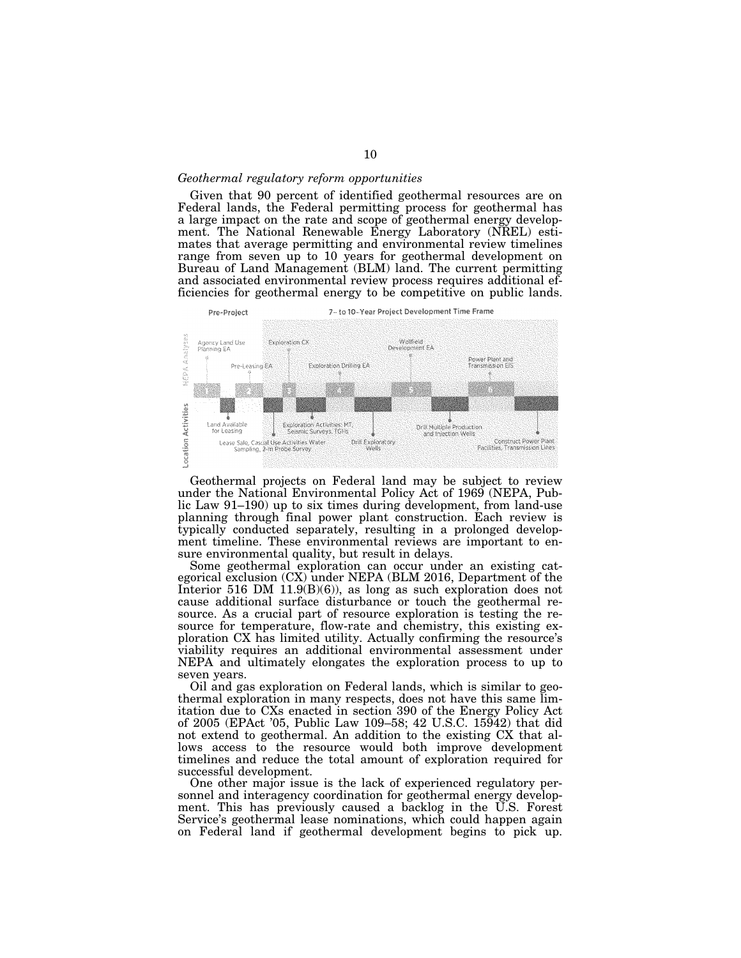## *Geothermal regulatory reform opportunities*

Given that 90 percent of identified geothermal resources are on Federal lands, the Federal permitting process for geothermal has a large impact on the rate and scope of geothermal energy development. The National Renewable Energy Laboratory (NREL) estimates that average permitting and environmental review timelines range from seven up to 10 years for geothermal development on Bureau of Land Management (BLM) land. The current permitting and associated environmental review process requires additional efficiencies for geothermal energy to be competitive on public lands.



Geothermal projects on Federal land may be subject to review under the National Environmental Policy Act of 1969 (NEPA, Public Law 91–190) up to six times during development, from land-use planning through final power plant construction. Each review is typically conducted separately, resulting in a prolonged development timeline. These environmental reviews are important to ensure environmental quality, but result in delays.

Some geothermal exploration can occur under an existing categorical exclusion (CX) under NEPA (BLM 2016, Department of the Interior 516 DM 11.9(B)(6)), as long as such exploration does not cause additional surface disturbance or touch the geothermal resource. As a crucial part of resource exploration is testing the resource for temperature, flow-rate and chemistry, this existing exploration CX has limited utility. Actually confirming the resource's viability requires an additional environmental assessment under NEPA and ultimately elongates the exploration process to up to seven years.

Oil and gas exploration on Federal lands, which is similar to geothermal exploration in many respects, does not have this same limitation due to CXs enacted in section 390 of the Energy Policy Act of 2005 (EPAct '05, Public Law 109–58; 42 U.S.C. 15942) that did not extend to geothermal. An addition to the existing CX that allows access to the resource would both improve development timelines and reduce the total amount of exploration required for successful development.

One other major issue is the lack of experienced regulatory personnel and interagency coordination for geothermal energy development. This has previously caused a backlog in the U.S. Forest Service's geothermal lease nominations, which could happen again on Federal land if geothermal development begins to pick up.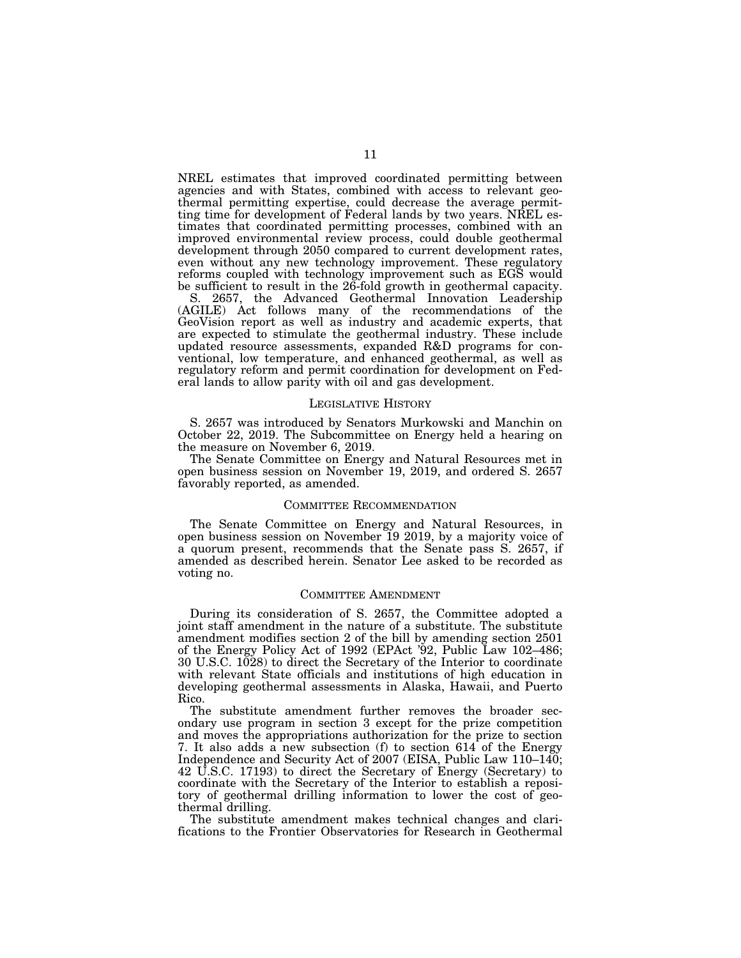NREL estimates that improved coordinated permitting between agencies and with States, combined with access to relevant geothermal permitting expertise, could decrease the average permitting time for development of Federal lands by two years. NREL estimates that coordinated permitting processes, combined with an improved environmental review process, could double geothermal development through 2050 compared to current development rates, even without any new technology improvement. These regulatory reforms coupled with technology improvement such as EGS would be sufficient to result in the 26-fold growth in geothermal capacity.

S. 2657, the Advanced Geothermal Innovation Leadership (AGILE) Act follows many of the recommendations of the GeoVision report as well as industry and academic experts, that are expected to stimulate the geothermal industry. These include updated resource assessments, expanded R&D programs for conventional, low temperature, and enhanced geothermal, as well as regulatory reform and permit coordination for development on Federal lands to allow parity with oil and gas development.

#### LEGISLATIVE HISTORY

S. 2657 was introduced by Senators Murkowski and Manchin on October 22, 2019. The Subcommittee on Energy held a hearing on the measure on November 6, 2019.

The Senate Committee on Energy and Natural Resources met in open business session on November 19, 2019, and ordered S. 2657 favorably reported, as amended.

#### COMMITTEE RECOMMENDATION

The Senate Committee on Energy and Natural Resources, in open business session on November 19 2019, by a majority voice of a quorum present, recommends that the Senate pass S. 2657, if amended as described herein. Senator Lee asked to be recorded as voting no.

#### COMMITTEE AMENDMENT

During its consideration of S. 2657, the Committee adopted a joint staff amendment in the nature of a substitute. The substitute amendment modifies section 2 of the bill by amending section 2501 of the Energy Policy Act of 1992 (EPAct '92, Public Law 102–486; 30 U.S.C. 1028) to direct the Secretary of the Interior to coordinate with relevant State officials and institutions of high education in developing geothermal assessments in Alaska, Hawaii, and Puerto Rico.

The substitute amendment further removes the broader secondary use program in section 3 except for the prize competition and moves the appropriations authorization for the prize to section 7. It also adds a new subsection (f) to section 614 of the Energy Independence and Security Act of 2007 (EISA, Public Law 110–140; 42 U.S.C. 17193) to direct the Secretary of Energy (Secretary) to coordinate with the Secretary of the Interior to establish a repository of geothermal drilling information to lower the cost of geothermal drilling.

The substitute amendment makes technical changes and clarifications to the Frontier Observatories for Research in Geothermal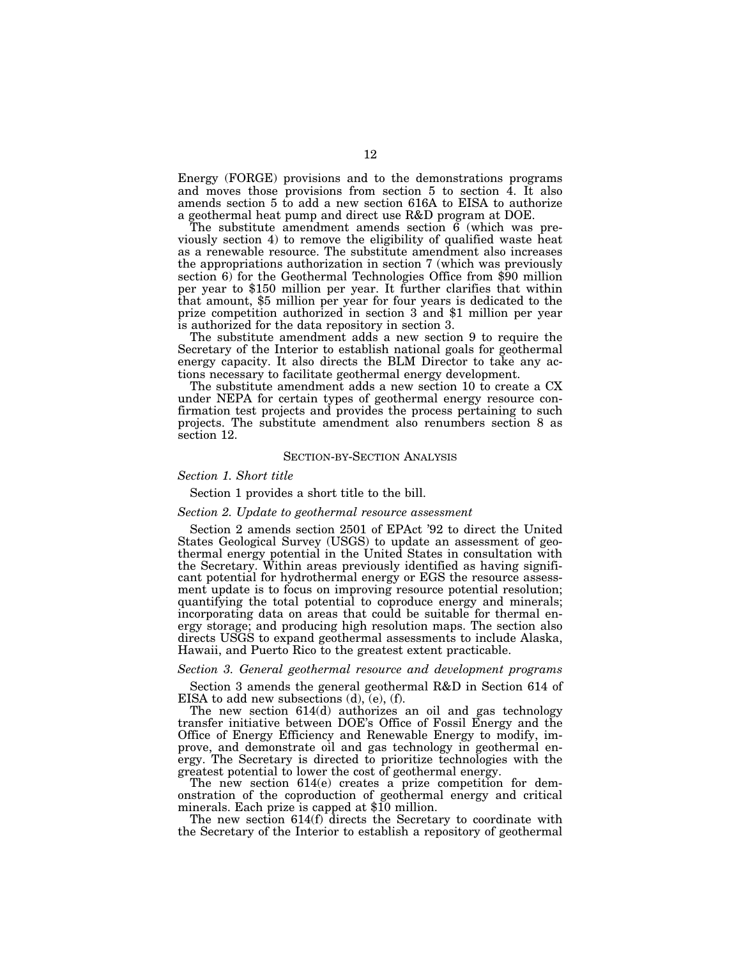Energy (FORGE) provisions and to the demonstrations programs and moves those provisions from section  $5$  to section  $\overline{4}$ . It also amends section 5 to add a new section 616A to EISA to authorize a geothermal heat pump and direct use R&D program at DOE.

The substitute amendment amends section  $\vec{6}$  (which was previously section 4) to remove the eligibility of qualified waste heat as a renewable resource. The substitute amendment also increases the appropriations authorization in section 7 (which was previously section 6) for the Geothermal Technologies Office from \$90 million per year to \$150 million per year. It further clarifies that within that amount, \$5 million per year for four years is dedicated to the prize competition authorized in section 3 and \$1 million per year is authorized for the data repository in section 3.

The substitute amendment adds a new section 9 to require the Secretary of the Interior to establish national goals for geothermal energy capacity. It also directs the BLM Director to take any actions necessary to facilitate geothermal energy development.

The substitute amendment adds a new section 10 to create a CX under NEPA for certain types of geothermal energy resource confirmation test projects and provides the process pertaining to such projects. The substitute amendment also renumbers section 8 as section 12.

### SECTION-BY-SECTION ANALYSIS

## *Section 1. Short title*

Section 1 provides a short title to the bill.

## *Section 2. Update to geothermal resource assessment*

Section 2 amends section 2501 of EPAct '92 to direct the United States Geological Survey (USGS) to update an assessment of geothermal energy potential in the United States in consultation with the Secretary. Within areas previously identified as having significant potential for hydrothermal energy or EGS the resource assessment update is to focus on improving resource potential resolution; quantifying the total potential to coproduce energy and minerals; incorporating data on areas that could be suitable for thermal energy storage; and producing high resolution maps. The section also directs USGS to expand geothermal assessments to include Alaska, Hawaii, and Puerto Rico to the greatest extent practicable.

## *Section 3. General geothermal resource and development programs*

Section 3 amends the general geothermal R&D in Section 614 of EISA to add new subsections (d), (e), (f).

The new section 614(d) authorizes an oil and gas technology transfer initiative between DOE's Office of Fossil Energy and the Office of Energy Efficiency and Renewable Energy to modify, improve, and demonstrate oil and gas technology in geothermal energy. The Secretary is directed to prioritize technologies with the greatest potential to lower the cost of geothermal energy.

The new section 614(e) creates a prize competition for demonstration of the coproduction of geothermal energy and critical minerals. Each prize is capped at \$10 million.

The new section 614(f) directs the Secretary to coordinate with the Secretary of the Interior to establish a repository of geothermal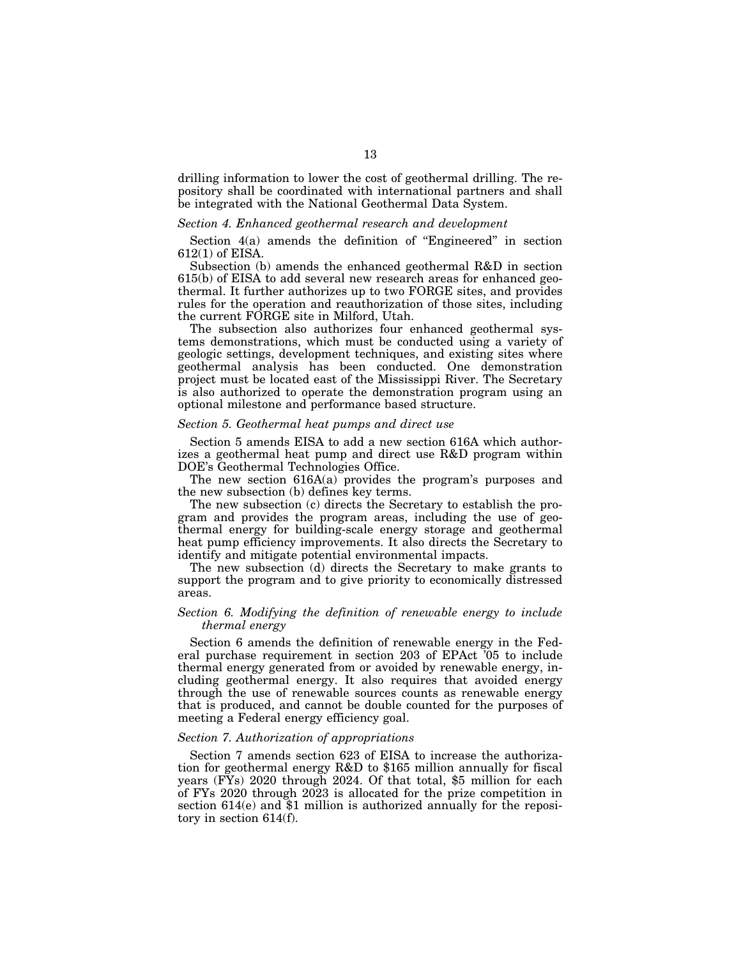drilling information to lower the cost of geothermal drilling. The repository shall be coordinated with international partners and shall be integrated with the National Geothermal Data System.

## *Section 4. Enhanced geothermal research and development*

Section 4(a) amends the definition of ''Engineered'' in section 612(1) of EISA.

Subsection (b) amends the enhanced geothermal R&D in section 615(b) of EISA to add several new research areas for enhanced geothermal. It further authorizes up to two FORGE sites, and provides rules for the operation and reauthorization of those sites, including the current FORGE site in Milford, Utah.

The subsection also authorizes four enhanced geothermal systems demonstrations, which must be conducted using a variety of geologic settings, development techniques, and existing sites where geothermal analysis has been conducted. One demonstration project must be located east of the Mississippi River. The Secretary is also authorized to operate the demonstration program using an optional milestone and performance based structure.

## *Section 5. Geothermal heat pumps and direct use*

Section 5 amends EISA to add a new section 616A which authorizes a geothermal heat pump and direct use R&D program within DOE's Geothermal Technologies Office.

The new section 616A(a) provides the program's purposes and the new subsection (b) defines key terms.

The new subsection (c) directs the Secretary to establish the program and provides the program areas, including the use of geothermal energy for building-scale energy storage and geothermal heat pump efficiency improvements. It also directs the Secretary to identify and mitigate potential environmental impacts.

The new subsection (d) directs the Secretary to make grants to support the program and to give priority to economically distressed areas.

## *Section 6. Modifying the definition of renewable energy to include thermal energy*

Section 6 amends the definition of renewable energy in the Federal purchase requirement in section 203 of EPAct '05 to include thermal energy generated from or avoided by renewable energy, including geothermal energy. It also requires that avoided energy through the use of renewable sources counts as renewable energy that is produced, and cannot be double counted for the purposes of meeting a Federal energy efficiency goal.

## *Section 7. Authorization of appropriations*

Section 7 amends section 623 of EISA to increase the authorization for geothermal energy R&D to \$165 million annually for fiscal years (FYs) 2020 through 2024. Of that total, \$5 million for each of FYs 2020 through 2023 is allocated for the prize competition in section 614(e) and \$1 million is authorized annually for the repository in section 614(f).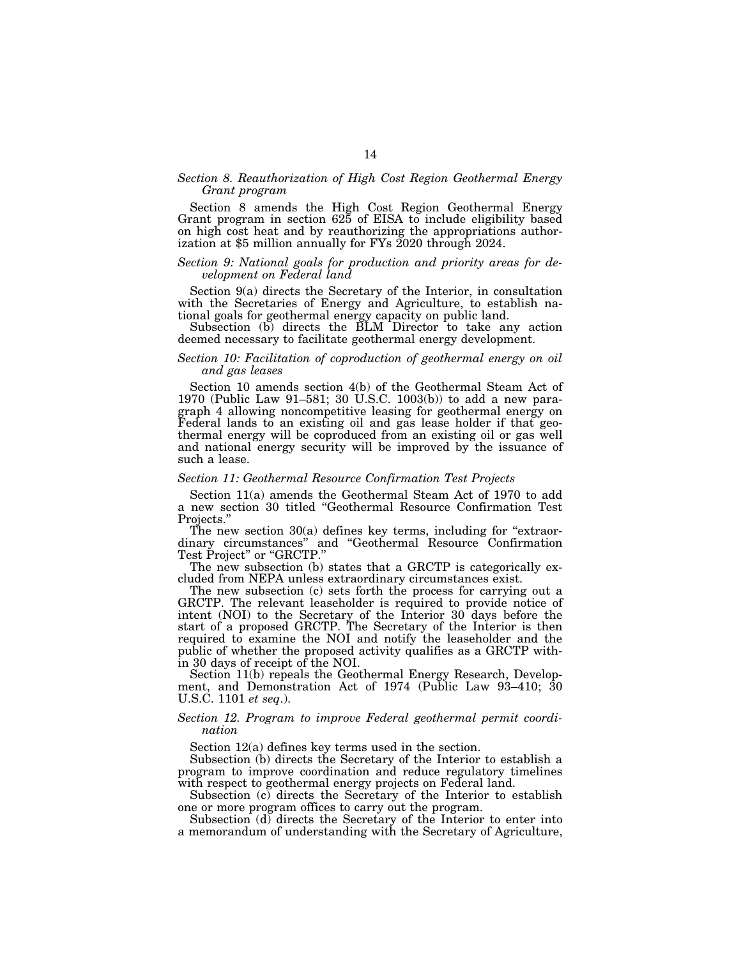## *Section 8. Reauthorization of High Cost Region Geothermal Energy Grant program*

Section 8 amends the High Cost Region Geothermal Energy Grant program in section 625 of EISA to include eligibility based on high cost heat and by reauthorizing the appropriations authorization at \$5 million annually for FYs 2020 through 2024.

#### *Section 9: National goals for production and priority areas for development on Federal land*

Section 9(a) directs the Secretary of the Interior, in consultation with the Secretaries of Energy and Agriculture, to establish national goals for geothermal energy capacity on public land.

Subsection (b) directs the BLM Director to take any action deemed necessary to facilitate geothermal energy development.

## *Section 10: Facilitation of coproduction of geothermal energy on oil and gas leases*

Section 10 amends section 4(b) of the Geothermal Steam Act of 1970 (Public Law 91–581; 30 U.S.C. 1003(b)) to add a new paragraph 4 allowing noncompetitive leasing for geothermal energy on Federal lands to an existing oil and gas lease holder if that geothermal energy will be coproduced from an existing oil or gas well and national energy security will be improved by the issuance of such a lease.

## *Section 11: Geothermal Resource Confirmation Test Projects*

Section 11(a) amends the Geothermal Steam Act of 1970 to add a new section 30 titled ''Geothermal Resource Confirmation Test Projects.''

The new section  $30(a)$  defines key terms, including for "extraordinary circumstances'' and ''Geothermal Resource Confirmation Test Project'' or ''GRCTP.''

The new subsection (b) states that a GRCTP is categorically excluded from NEPA unless extraordinary circumstances exist.

The new subsection (c) sets forth the process for carrying out a GRCTP. The relevant leaseholder is required to provide notice of intent (NOI) to the Secretary of the Interior 30 days before the start of a proposed GRCTP. The Secretary of the Interior is then required to examine the NOI and notify the leaseholder and the public of whether the proposed activity qualifies as a GRCTP within 30 days of receipt of the NOI.

Section 11(b) repeals the Geothermal Energy Research, Development, and Demonstration Act of 1974 (Public Law 93–410; 30 U.S.C. 1101 *et seq*.).

## *Section 12. Program to improve Federal geothermal permit coordination*

Section 12(a) defines key terms used in the section.

Subsection (b) directs the Secretary of the Interior to establish a program to improve coordination and reduce regulatory timelines with respect to geothermal energy projects on Federal land.

Subsection (c) directs the Secretary of the Interior to establish one or more program offices to carry out the program.

Subsection (d) directs the Secretary of the Interior to enter into a memorandum of understanding with the Secretary of Agriculture,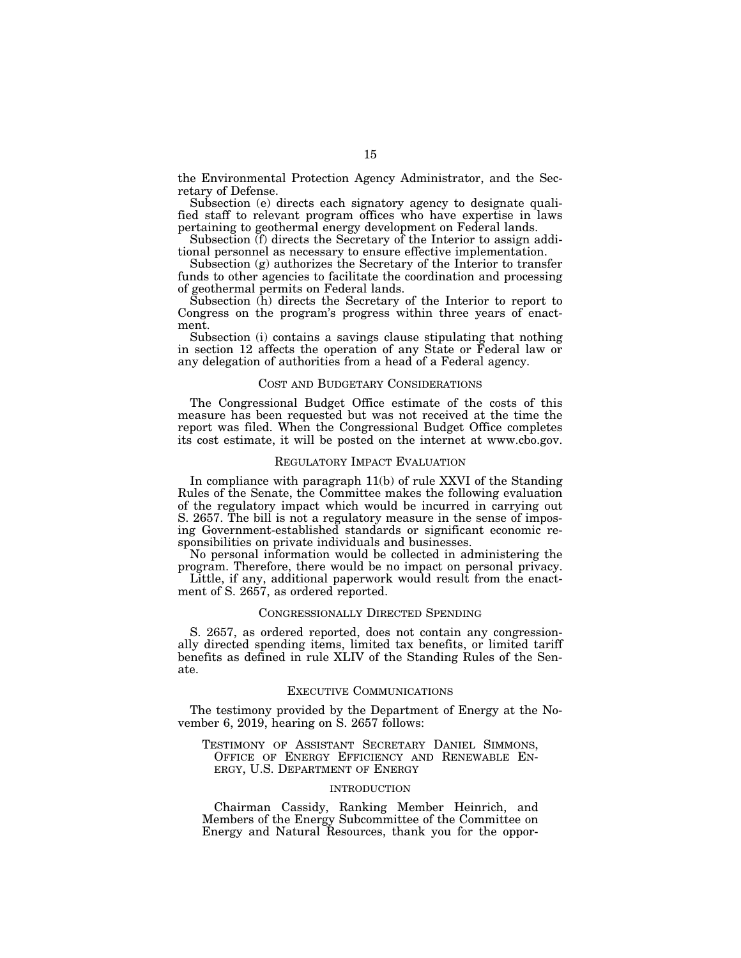the Environmental Protection Agency Administrator, and the Secretary of Defense.

Subsection (e) directs each signatory agency to designate qualified staff to relevant program offices who have expertise in laws pertaining to geothermal energy development on Federal lands.

Subsection (f) directs the Secretary of the Interior to assign additional personnel as necessary to ensure effective implementation.

Subsection (g) authorizes the Secretary of the Interior to transfer funds to other agencies to facilitate the coordination and processing of geothermal permits on Federal lands.

Subsection (h) directs the Secretary of the Interior to report to Congress on the program's progress within three years of enactment.

Subsection (i) contains a savings clause stipulating that nothing in section 12 affects the operation of any State or Federal law or any delegation of authorities from a head of a Federal agency.

#### COST AND BUDGETARY CONSIDERATIONS

The Congressional Budget Office estimate of the costs of this measure has been requested but was not received at the time the report was filed. When the Congressional Budget Office completes its cost estimate, it will be posted on the internet at www.cbo.gov.

### REGULATORY IMPACT EVALUATION

In compliance with paragraph 11(b) of rule XXVI of the Standing Rules of the Senate, the Committee makes the following evaluation of the regulatory impact which would be incurred in carrying out S. 2657. The bill is not a regulatory measure in the sense of imposing Government-established standards or significant economic responsibilities on private individuals and businesses.

No personal information would be collected in administering the program. Therefore, there would be no impact on personal privacy.

Little, if any, additional paperwork would result from the enactment of S. 2657, as ordered reported.

## CONGRESSIONALLY DIRECTED SPENDING

S. 2657, as ordered reported, does not contain any congressionally directed spending items, limited tax benefits, or limited tariff benefits as defined in rule XLIV of the Standing Rules of the Senate.

### EXECUTIVE COMMUNICATIONS

The testimony provided by the Department of Energy at the November 6, 2019, hearing on S. 2657 follows:

TESTIMONY OF ASSISTANT SECRETARY DANIEL SIMMONS, OFFICE OF ENERGY EFFICIENCY AND RENEWABLE EN-ERGY, U.S. DEPARTMENT OF ENERGY

#### INTRODUCTION

Chairman Cassidy, Ranking Member Heinrich, and Members of the Energy Subcommittee of the Committee on Energy and Natural Resources, thank you for the oppor-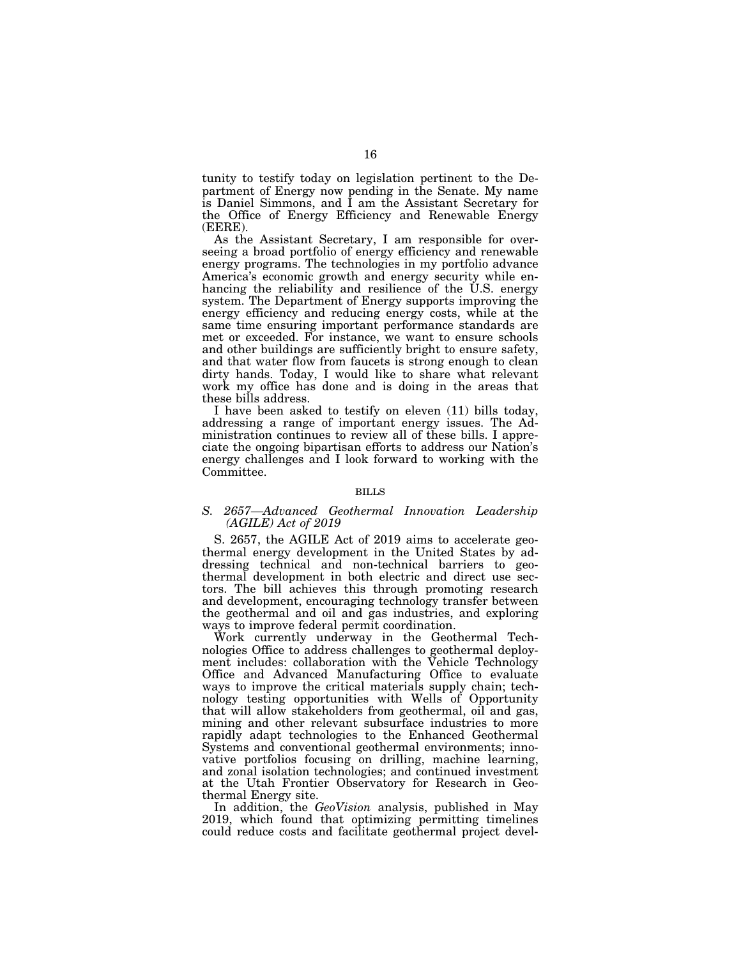tunity to testify today on legislation pertinent to the Department of Energy now pending in the Senate. My name is Daniel Simmons, and I am the Assistant Secretary for the Office of Energy Efficiency and Renewable Energy (EERE).

As the Assistant Secretary, I am responsible for overseeing a broad portfolio of energy efficiency and renewable energy programs. The technologies in my portfolio advance America's economic growth and energy security while enhancing the reliability and resilience of the U.S. energy system. The Department of Energy supports improving the energy efficiency and reducing energy costs, while at the same time ensuring important performance standards are met or exceeded. For instance, we want to ensure schools and other buildings are sufficiently bright to ensure safety, and that water flow from faucets is strong enough to clean dirty hands. Today, I would like to share what relevant work my office has done and is doing in the areas that these bills address.

I have been asked to testify on eleven (11) bills today, addressing a range of important energy issues. The Administration continues to review all of these bills. I appreciate the ongoing bipartisan efforts to address our Nation's energy challenges and I look forward to working with the Committee.

#### BILLS

## *S. 2657—Advanced Geothermal Innovation Leadership (AGILE) Act of 2019*

S. 2657, the AGILE Act of 2019 aims to accelerate geothermal energy development in the United States by addressing technical and non-technical barriers to geothermal development in both electric and direct use sectors. The bill achieves this through promoting research and development, encouraging technology transfer between the geothermal and oil and gas industries, and exploring ways to improve federal permit coordination.

Work currently underway in the Geothermal Technologies Office to address challenges to geothermal deployment includes: collaboration with the Vehicle Technology Office and Advanced Manufacturing Office to evaluate ways to improve the critical materials supply chain; technology testing opportunities with Wells of Opportunity that will allow stakeholders from geothermal, oil and gas, mining and other relevant subsurface industries to more rapidly adapt technologies to the Enhanced Geothermal Systems and conventional geothermal environments; innovative portfolios focusing on drilling, machine learning, and zonal isolation technologies; and continued investment at the Utah Frontier Observatory for Research in Geothermal Energy site.

In addition, the *GeoVision* analysis, published in May 2019, which found that optimizing permitting timelines could reduce costs and facilitate geothermal project devel-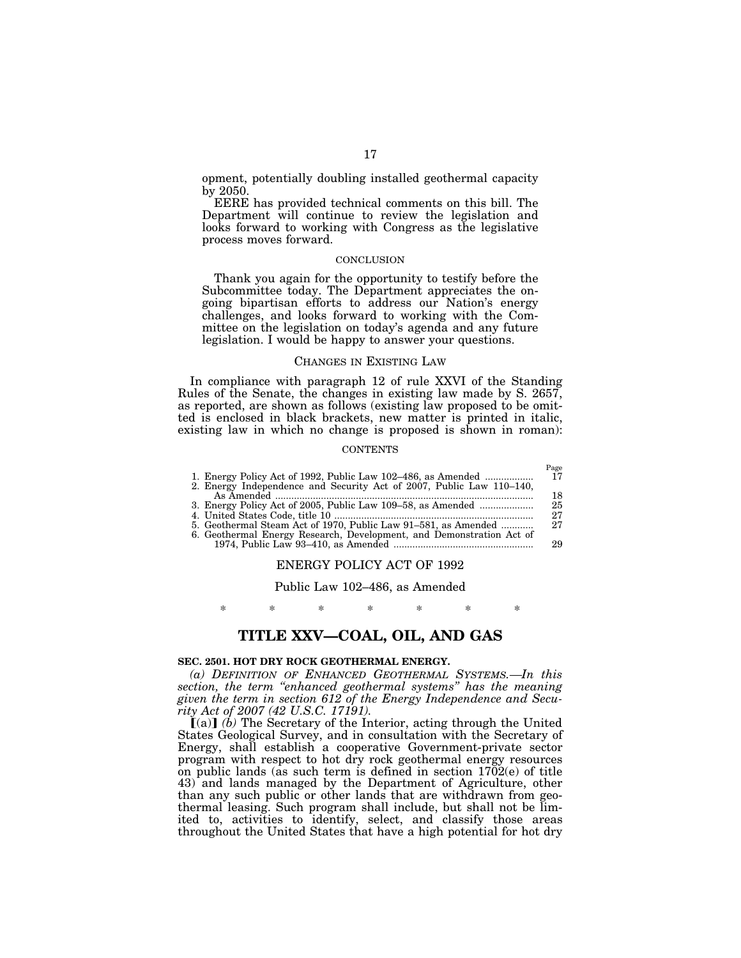opment, potentially doubling installed geothermal capacity by 2050.

EERE has provided technical comments on this bill. The Department will continue to review the legislation and looks forward to working with Congress as the legislative process moves forward.

### **CONCLUSION**

Thank you again for the opportunity to testify before the Subcommittee today. The Department appreciates the ongoing bipartisan efforts to address our Nation's energy challenges, and looks forward to working with the Committee on the legislation on today's agenda and any future legislation. I would be happy to answer your questions.

#### CHANGES IN EXISTING LAW

In compliance with paragraph 12 of rule XXVI of the Standing Rules of the Senate, the changes in existing law made by S. 2657, as reported, are shown as follows (existing law proposed to be omitted is enclosed in black brackets, new matter is printed in italic, existing law in which no change is proposed is shown in roman):

#### **CONTENTS**

|                                                                      | Page |
|----------------------------------------------------------------------|------|
| 1. Energy Policy Act of 1992, Public Law 102–486, as Amended         | 17   |
| 2. Energy Independence and Security Act of 2007, Public Law 110-140, |      |
|                                                                      | 18   |
| 3. Energy Policy Act of 2005, Public Law 109–58, as Amended          | 25   |
|                                                                      | 27   |
| 5. Geothermal Steam Act of 1970, Public Law 91–581, as Amended       | 27   |
| 6. Geothermal Energy Research, Development, and Demonstration Act of |      |
|                                                                      | 29   |

## ENERGY POLICY ACT OF 1992

Public Law 102–486, as Amended

\* \* \* \* \* \* \*

## **TITLE XXV—COAL, OIL, AND GAS**

## **SEC. 2501. HOT DRY ROCK GEOTHERMAL ENERGY.**

*(a) DEFINITION OF ENHANCED GEOTHERMAL SYSTEMS.—In this section, the term ''enhanced geothermal systems'' has the meaning given the term in section 612 of the Energy Independence and Secu-*

*rity Act of 2007 (42 U.S.C. 17191).*<br> **[**(a)] *(b)* The Secretary of the Interior, acting through the United States Geological Survey, and in consultation with the Secretary of Energy, shall establish a cooperative Government-private sector program with respect to hot dry rock geothermal energy resources on public lands (as such term is defined in section 1702(e) of title 43) and lands managed by the Department of Agriculture, other than any such public or other lands that are withdrawn from geothermal leasing. Such program shall include, but shall not be limited to, activities to identify, select, and classify those areas throughout the United States that have a high potential for hot dry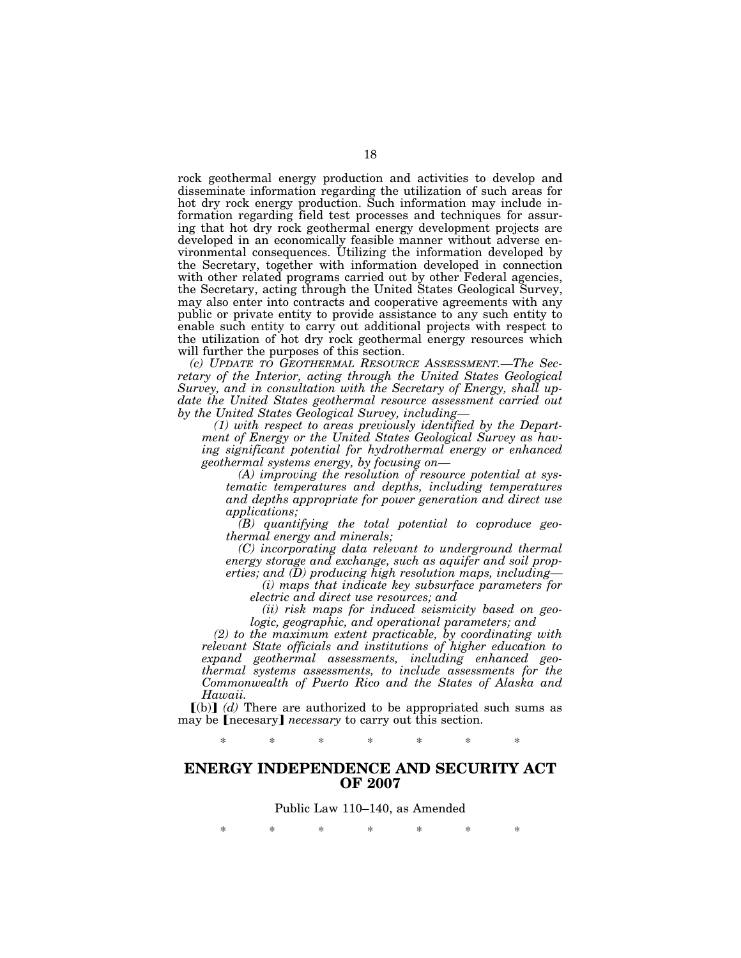rock geothermal energy production and activities to develop and disseminate information regarding the utilization of such areas for hot dry rock energy production. Such information may include information regarding field test processes and techniques for assuring that hot dry rock geothermal energy development projects are developed in an economically feasible manner without adverse environmental consequences. Utilizing the information developed by the Secretary, together with information developed in connection with other related programs carried out by other Federal agencies, the Secretary, acting through the United States Geological Survey, may also enter into contracts and cooperative agreements with any public or private entity to provide assistance to any such entity to enable such entity to carry out additional projects with respect to the utilization of hot dry rock geothermal energy resources which will further the purposes of this section.

*(c) UPDATE TO GEOTHERMAL RESOURCE ASSESSMENT.—The Secretary of the Interior, acting through the United States Geological Survey, and in consultation with the Secretary of Energy, shall update the United States geothermal resource assessment carried out by the United States Geological Survey, including—* 

*(1) with respect to areas previously identified by the Department of Energy or the United States Geological Survey as having significant potential for hydrothermal energy or enhanced geothermal systems energy, by focusing on—* 

*(A) improving the resolution of resource potential at systematic temperatures and depths, including temperatures and depths appropriate for power generation and direct use applications;* 

*(B) quantifying the total potential to coproduce geothermal energy and minerals;* 

*(C) incorporating data relevant to underground thermal energy storage and exchange, such as aquifer and soil properties; and (D) producing high resolution maps, including—* 

*(i) maps that indicate key subsurface parameters for electric and direct use resources; and* 

*(ii) risk maps for induced seismicity based on geologic, geographic, and operational parameters; and* 

*(2) to the maximum extent practicable, by coordinating with relevant State officials and institutions of higher education to expand geothermal assessments, including enhanced geothermal systems assessments, to include assessments for the Commonwealth of Puerto Rico and the States of Alaska and Hawaii.* 

 $\lceil$ (b) $\rceil$  *(d)* There are authorized to be appropriated such sums as may be **[necesary]** *necessary* to carry out this section.

\* \* \* \* \* \* \*

# **ENERGY INDEPENDENCE AND SECURITY ACT OF 2007**

Public Law 110–140, as Amended

\* \* \* \* \* \* \*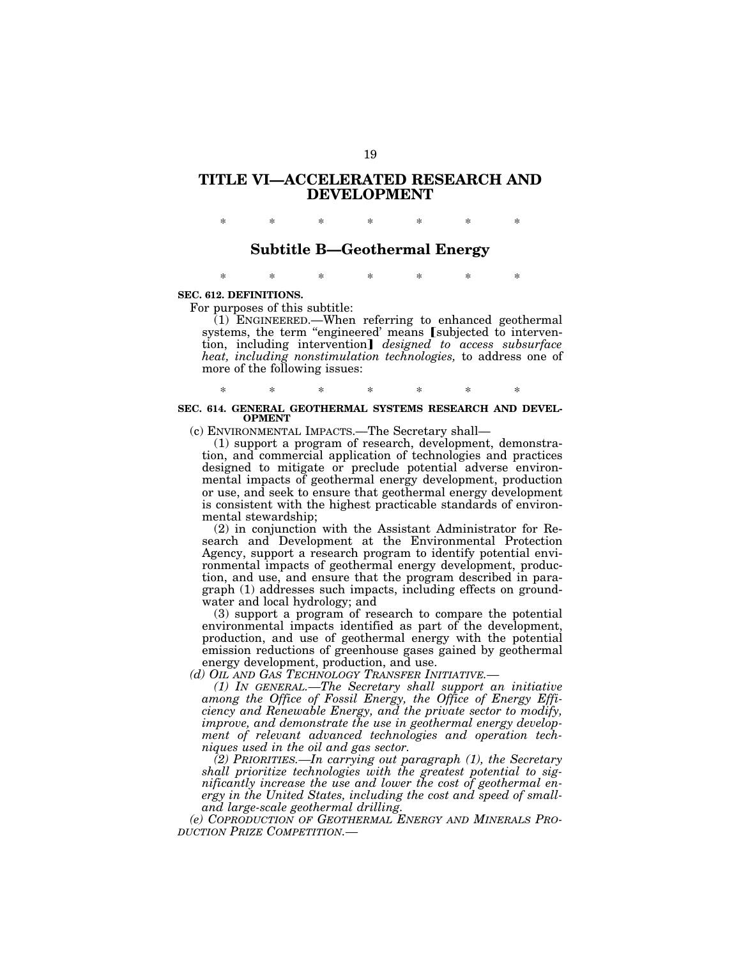# **TITLE VI—ACCELERATED RESEARCH AND DEVELOPMENT**

\* \* \* \* \* \* \*

## **Subtitle B—Geothermal Energy**

\* \* \* \* \* \* \*

## **SEC. 612. DEFINITIONS.**

For purposes of this subtitle:

 $(1)$  ENGINEERED.—When referring to enhanced geothermal systems, the term "engineered' means [subjected to intervention, including intervention] *designed to access subsurface heat, including nonstimulation technologies,* to address one of more of the following issues:

## \* \* \* \* \* \* \* **SEC. 614. GENERAL GEOTHERMAL SYSTEMS RESEARCH AND DEVEL-OPMENT**

(c) ENVIRONMENTAL IMPACTS.—The Secretary shall—

(1) support a program of research, development, demonstration, and commercial application of technologies and practices designed to mitigate or preclude potential adverse environmental impacts of geothermal energy development, production or use, and seek to ensure that geothermal energy development is consistent with the highest practicable standards of environmental stewardship;

(2) in conjunction with the Assistant Administrator for Research and Development at the Environmental Protection Agency, support a research program to identify potential environmental impacts of geothermal energy development, production, and use, and ensure that the program described in paragraph (1) addresses such impacts, including effects on groundwater and local hydrology; and

(3) support a program of research to compare the potential environmental impacts identified as part of the development, production, and use of geothermal energy with the potential emission reductions of greenhouse gases gained by geothermal energy development, production, and use.

*(d) OIL AND GAS TECHNOLOGY TRANSFER INITIATIVE.—* 

*(1) IN GENERAL.—The Secretary shall support an initiative among the Office of Fossil Energy, the Office of Energy Efficiency and Renewable Energy, and the private sector to modify, improve, and demonstrate the use in geothermal energy development of relevant advanced technologies and operation techniques used in the oil and gas sector.* 

*(2) PRIORITIES.—In carrying out paragraph (1), the Secretary shall prioritize technologies with the greatest potential to significantly increase the use and lower the cost of geothermal energy in the United States, including the cost and speed of smalland large-scale geothermal drilling.* 

*(e) COPRODUCTION OF GEOTHERMAL ENERGY AND MINERALS PRO-DUCTION PRIZE COMPETITION.—*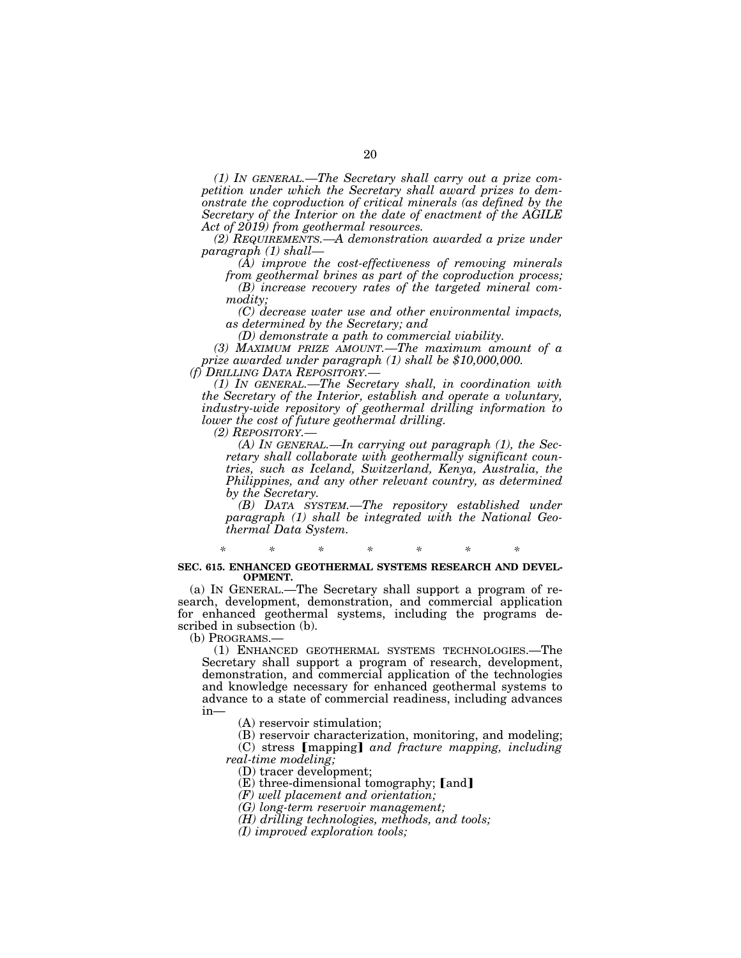*(1) IN GENERAL.—The Secretary shall carry out a prize competition under which the Secretary shall award prizes to demonstrate the coproduction of critical minerals (as defined by the Secretary of the Interior on the date of enactment of the AGILE Act of 2019) from geothermal resources.* 

*(2) REQUIREMENTS.—A demonstration awarded a prize under paragraph (1) shall—* 

*(A) improve the cost-effectiveness of removing minerals* 

*from geothermal brines as part of the coproduction process; (B) increase recovery rates of the targeted mineral commodity;* 

*(C) decrease water use and other environmental impacts, as determined by the Secretary; and* 

*(D) demonstrate a path to commercial viability.* 

*(3) MAXIMUM PRIZE AMOUNT.—The maximum amount of a prize awarded under paragraph (1) shall be \$10,000,000.* 

*(f) DRILLING DATA REPOSITORY.—* 

*(1) IN GENERAL.—The Secretary shall, in coordination with the Secretary of the Interior, establish and operate a voluntary, industry-wide repository of geothermal drilling information to lower the cost of future geothermal drilling.* 

*(2) REPOSITORY.— (A) IN GENERAL.—In carrying out paragraph (1), the Secretary shall collaborate with geothermally significant countries, such as Iceland, Switzerland, Kenya, Australia, the Philippines, and any other relevant country, as determined by the Secretary.* 

*(B) DATA SYSTEM.—The repository established under paragraph (1) shall be integrated with the National Geothermal Data System.* 

*\* \* \* \* \* \* \** 

#### **SEC. 615. ENHANCED GEOTHERMAL SYSTEMS RESEARCH AND DEVEL-OPMENT.**

(a) IN GENERAL.—The Secretary shall support a program of research, development, demonstration, and commercial application for enhanced geothermal systems, including the programs described in subsection (b).<br>(b) PROGRAMS.—

(1) ENHANCED GEOTHERMAL SYSTEMS TECHNOLOGIES.—The Secretary shall support a program of research, development, demonstration, and commercial application of the technologies and knowledge necessary for enhanced geothermal systems to advance to a state of commercial readiness, including advances in—

(A) reservoir stimulation;

(B) reservoir characterization, monitoring, and modeling; (C) stress *[mapping] and fracture mapping, including* 

*real-time modeling;* 

(D) tracer development;

 $(E)$  three-dimensional tomography; [and]

*(F) well placement and orientation;* 

*(G) long-term reservoir management;* 

*(H) drilling technologies, methods, and tools;* 

*(I) improved exploration tools;*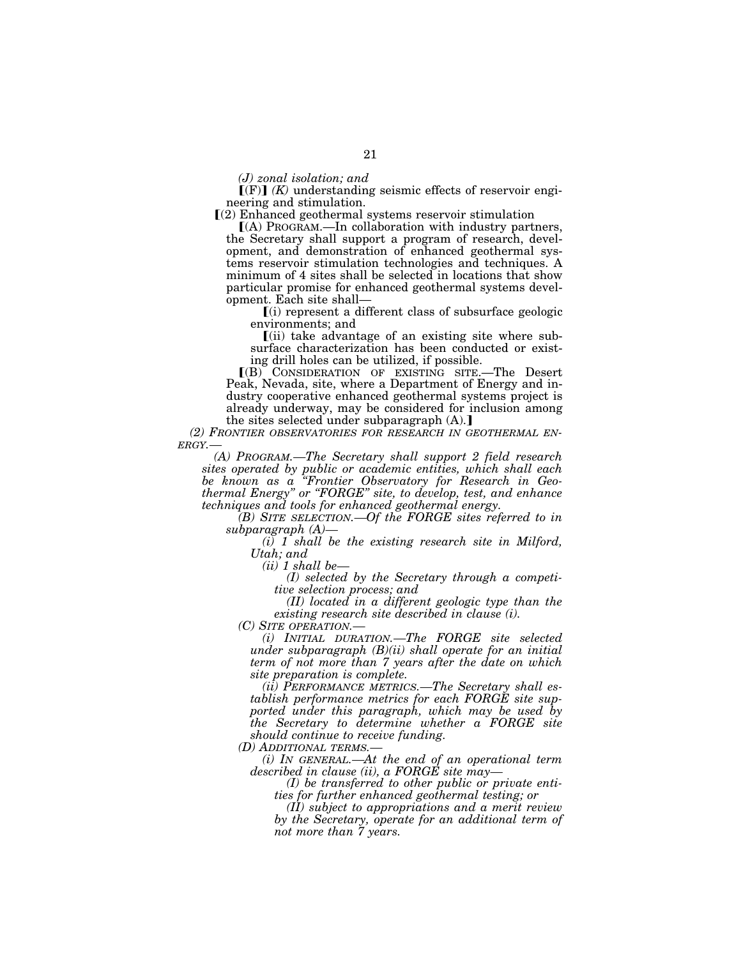*(J) zonal isolation; and* 

 $\Gamma(F)$  *(K)* understanding seismic effects of reservoir engineering and stimulation.

 $(2)$  Enhanced geothermal systems reservoir stimulation

 $(A)$  Program.—In collaboration with industry partners, the Secretary shall support a program of research, development, and demonstration of enhanced geothermal systems reservoir stimulation technologies and techniques. A minimum of 4 sites shall be selected in locations that show particular promise for enhanced geothermal systems development. Each site shall—

 $(i)$  represent a different class of subsurface geologic environments; and

ø(ii) take advantage of an existing site where subsurface characterization has been conducted or existing drill holes can be utilized, if possible.

ø(B) CONSIDERATION OF EXISTING SITE.—The Desert Peak, Nevada, site, where a Department of Energy and industry cooperative enhanced geothermal systems project is already underway, may be considered for inclusion among the sites selected under subparagraph  $(A)$ .

*(2) FRONTIER OBSERVATORIES FOR RESEARCH IN GEOTHERMAL EN- ERGY.—* 

*(A) PROGRAM.—The Secretary shall support 2 field research sites operated by public or academic entities, which shall each be known as a ''Frontier Observatory for Research in Geothermal Energy'' or ''FORGE'' site, to develop, test, and enhance techniques and tools for enhanced geothermal energy.* 

*(B) SITE SELECTION.—Of the FORGE sites referred to in subparagraph (A)—* 

*(i) 1 shall be the existing research site in Milford, Utah; and* 

*(ii) 1 shall be—* 

*(I) selected by the Secretary through a competitive selection process; and* 

*(II) located in a different geologic type than the existing research site described in clause (i).* 

*(C) SITE OPERATION.— (i) INITIAL DURATION.—The FORGE site selected under subparagraph (B)(ii) shall operate for an initial term of not more than 7 years after the date on which site preparation is complete.* 

*(ii) PERFORMANCE METRICS.—The Secretary shall establish performance metrics for each FORGE site supported under this paragraph, which may be used by the Secretary to determine whether a FORGE site should continue to receive funding.* 

*(D) ADDITIONAL TERMS.—* 

*(i) IN GENERAL.—At the end of an operational term described in clause (ii), a FORGE site may—* 

*(I) be transferred to other public or private entities for further enhanced geothermal testing; or* 

*(II) subject to appropriations and a merit review by the Secretary, operate for an additional term of not more than 7 years.*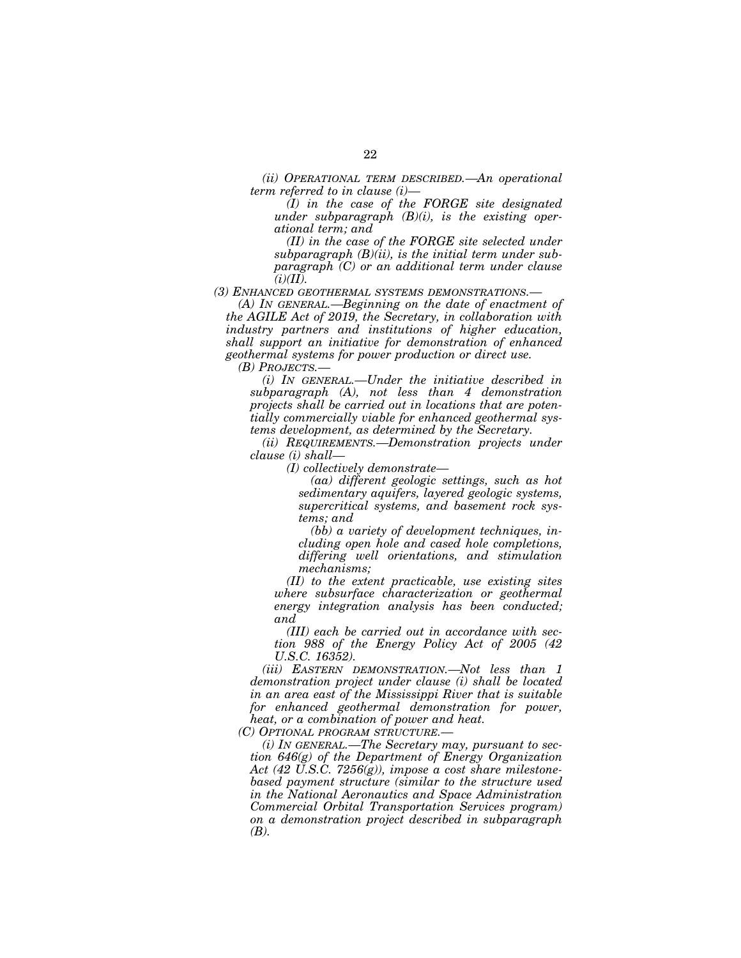*(ii) OPERATIONAL TERM DESCRIBED.—An operational term referred to in clause (i)—* 

*(I) in the case of the FORGE site designated under subparagraph (B)(i), is the existing operational term; and* 

*(II) in the case of the FORGE site selected under subparagraph (B)(ii), is the initial term under subparagraph (C) or an additional term under clause*   $(i)(II).$ 

*(3) ENHANCED GEOTHERMAL SYSTEMS DEMONSTRATIONS.—* 

*(A) IN GENERAL.—Beginning on the date of enactment of the AGILE Act of 2019, the Secretary, in collaboration with industry partners and institutions of higher education, shall support an initiative for demonstration of enhanced geothermal systems for power production or direct use.* 

*(B) PROJECTS.—* 

*(i) IN GENERAL.—Under the initiative described in subparagraph (A), not less than 4 demonstration projects shall be carried out in locations that are potentially commercially viable for enhanced geothermal systems development, as determined by the Secretary.* 

*(ii) REQUIREMENTS.—Demonstration projects under clause (i) shall—* 

*(I) collectively demonstrate—* 

*(aa) different geologic settings, such as hot sedimentary aquifers, layered geologic systems, supercritical systems, and basement rock systems; and* 

*(bb) a variety of development techniques, including open hole and cased hole completions, differing well orientations, and stimulation mechanisms;* 

*(II) to the extent practicable, use existing sites where subsurface characterization or geothermal energy integration analysis has been conducted; and* 

*(III) each be carried out in accordance with section 988 of the Energy Policy Act of 2005 (42 U.S.C. 16352).* 

*(iii) EASTERN DEMONSTRATION.—Not less than 1 demonstration project under clause (i) shall be located in an area east of the Mississippi River that is suitable for enhanced geothermal demonstration for power, heat, or a combination of power and heat.* 

*(C) OPTIONAL PROGRAM STRUCTURE.—* 

*(i) IN GENERAL.—The Secretary may, pursuant to section 646(g) of the Department of Energy Organization Act (42 U.S.C. 7256(g)), impose a cost share milestonebased payment structure (similar to the structure used in the National Aeronautics and Space Administration Commercial Orbital Transportation Services program) on a demonstration project described in subparagraph (B).*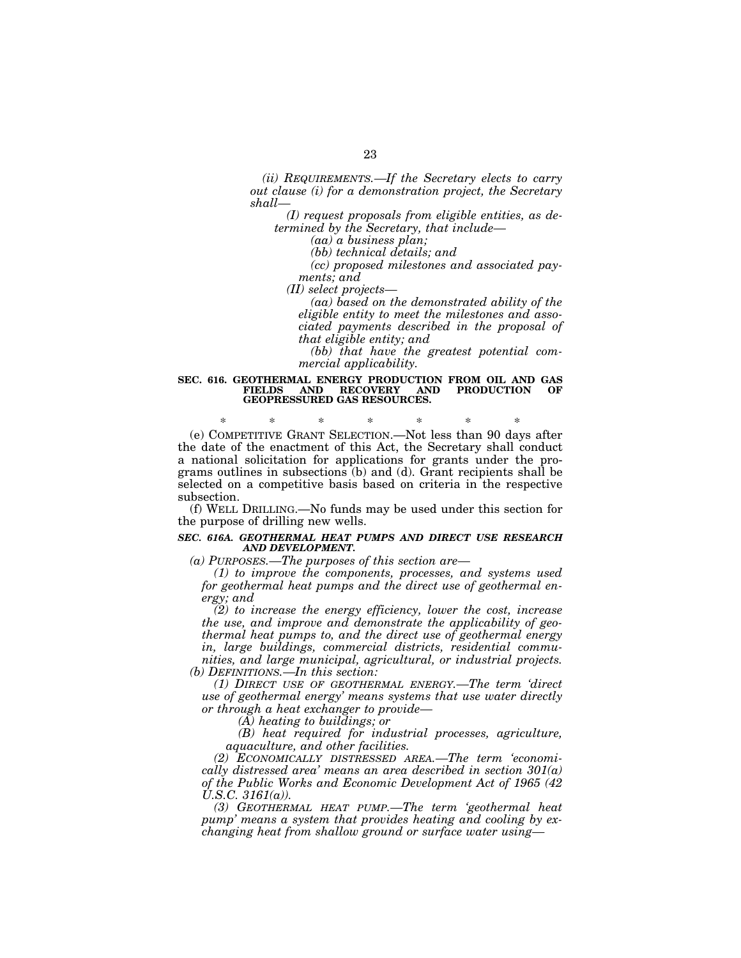*(ii) REQUIREMENTS.—If the Secretary elects to carry out clause (i) for a demonstration project, the Secretary shall—* 

*(I) request proposals from eligible entities, as determined by the Secretary, that include—* 

*(aa) a business plan;* 

*(bb) technical details; and* 

*(cc) proposed milestones and associated payments; and* 

*(II) select projects—* 

*(aa) based on the demonstrated ability of the eligible entity to meet the milestones and associated payments described in the proposal of that eligible entity; and* 

*(bb) that have the greatest potential commercial applicability.* 

#### **SEC. 616. GEOTHERMAL ENERGY PRODUCTION FROM OIL AND GAS FRODUCTION GEOPRESSURED GAS RESOURCES.**

\* \* \* \* \* \* \* (e) COMPETITIVE GRANT SELECTION.—Not less than 90 days after the date of the enactment of this Act, the Secretary shall conduct a national solicitation for applications for grants under the programs outlines in subsections (b) and (d). Grant recipients shall be selected on a competitive basis based on criteria in the respective subsection.

(f) WELL DRILLING.—No funds may be used under this section for the purpose of drilling new wells.

#### *SEC. 616A. GEOTHERMAL HEAT PUMPS AND DIRECT USE RESEARCH AND DEVELOPMENT.*

*(a) PURPOSES.—The purposes of this section are—* 

*(1) to improve the components, processes, and systems used for geothermal heat pumps and the direct use of geothermal energy; and* 

*(2) to increase the energy efficiency, lower the cost, increase the use, and improve and demonstrate the applicability of geothermal heat pumps to, and the direct use of geothermal energy in, large buildings, commercial districts, residential communities, and large municipal, agricultural, or industrial projects. (b) DEFINITIONS.—In this section:* 

*(1) DIRECT USE OF GEOTHERMAL ENERGY.—The term 'direct use of geothermal energy' means systems that use water directly or through a heat exchanger to provide—* 

*(A) heating to buildings; or* 

*(B) heat required for industrial processes, agriculture, aquaculture, and other facilities.* 

*(2) ECONOMICALLY DISTRESSED AREA.—The term 'economically distressed area' means an area described in section 301(a) of the Public Works and Economic Development Act of 1965 (42 U.S.C. 3161(a)).* 

*(3) GEOTHERMAL HEAT PUMP.—The term 'geothermal heat pump' means a system that provides heating and cooling by exchanging heat from shallow ground or surface water using—*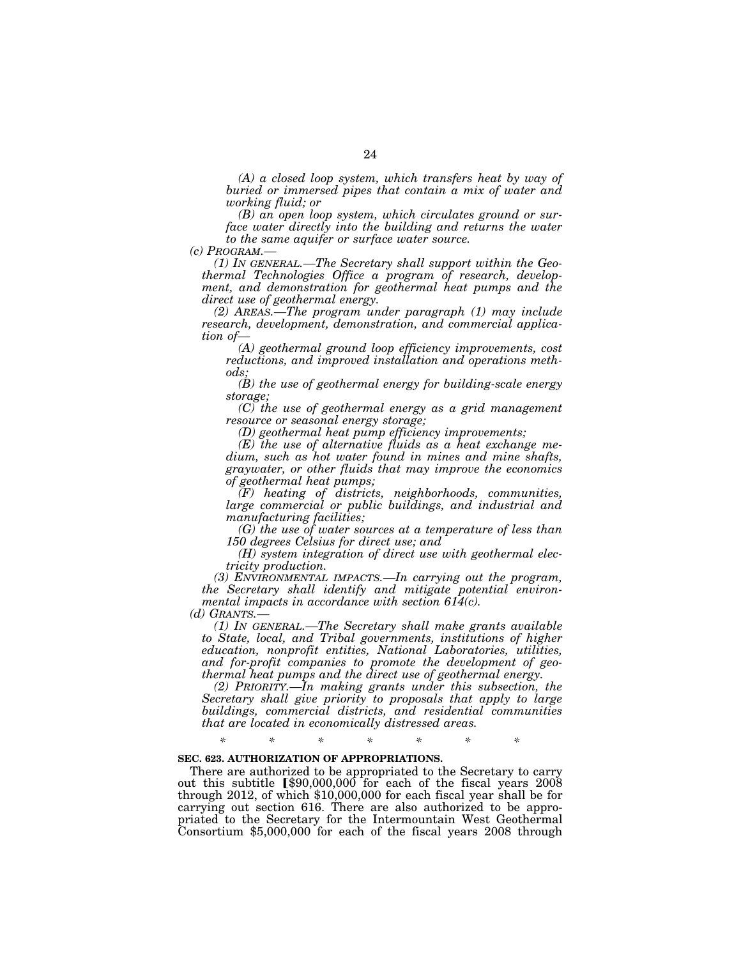*(A) a closed loop system, which transfers heat by way of buried or immersed pipes that contain a mix of water and working fluid; or* 

*(B) an open loop system, which circulates ground or surface water directly into the building and returns the water to the same aquifer or surface water source.* 

(1) In GENERAL.—The Secretary shall support within the Geo*thermal Technologies Office a program of research, development, and demonstration for geothermal heat pumps and the direct use of geothermal energy.* 

*(2) AREAS.—The program under paragraph (1) may include research, development, demonstration, and commercial application of—* 

*(A) geothermal ground loop efficiency improvements, cost reductions, and improved installation and operations methods;* 

*(B) the use of geothermal energy for building-scale energy storage;* 

*(C) the use of geothermal energy as a grid management resource or seasonal energy storage;* 

*(D) geothermal heat pump efficiency improvements;* 

*(E) the use of alternative fluids as a heat exchange medium, such as hot water found in mines and mine shafts, graywater, or other fluids that may improve the economics of geothermal heat pumps;* 

*(F) heating of districts, neighborhoods, communities, large commercial or public buildings, and industrial and manufacturing facilities;* 

*(G) the use of water sources at a temperature of less than 150 degrees Celsius for direct use; and* 

*(H) system integration of direct use with geothermal electricity production.* 

*(3) ENVIRONMENTAL IMPACTS.—In carrying out the program, the Secretary shall identify and mitigate potential environmental impacts in accordance with section 614(c).* 

*(d) GRANTS.— (1) IN GENERAL.—The Secretary shall make grants available to State, local, and Tribal governments, institutions of higher education, nonprofit entities, National Laboratories, utilities, and for-profit companies to promote the development of geothermal heat pumps and the direct use of geothermal energy.* 

*(2) PRIORITY.—In making grants under this subsection, the Secretary shall give priority to proposals that apply to large buildings, commercial districts, and residential communities that are located in economically distressed areas.* 

## *\* \* \* \* \* \* \**

## **SEC. 623. AUTHORIZATION OF APPROPRIATIONS.**

There are authorized to be appropriated to the Secretary to carry out this subtitle  $$90,000,000$  for each of the fiscal years 2008 through 2012, of which \$10,000,000 for each fiscal year shall be for carrying out section 616. There are also authorized to be appropriated to the Secretary for the Intermountain West Geothermal Consortium \$5,000,000 for each of the fiscal years 2008 through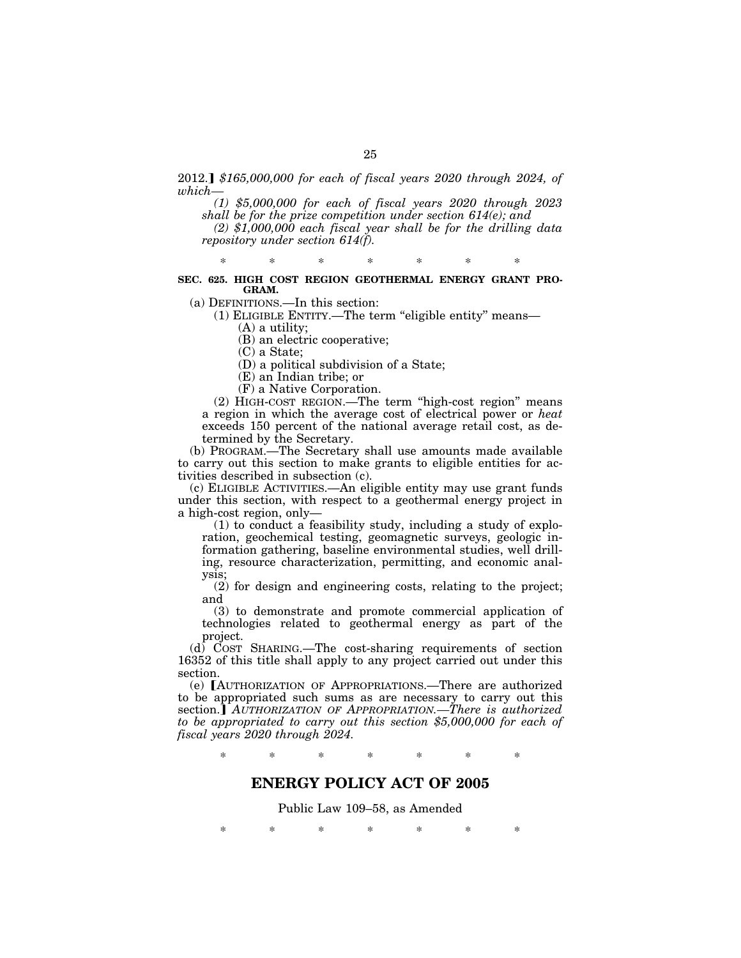2012.] \$165,000,000 for each of fiscal years 2020 through 2024, of *which—* 

*(1) \$5,000,000 for each of fiscal years 2020 through 2023 shall be for the prize competition under section 614(e); and* 

*(2) \$1,000,000 each fiscal year shall be for the drilling data repository under section 614(f).* 

\* \* \* \* \* \* \*

## **SEC. 625. HIGH COST REGION GEOTHERMAL ENERGY GRANT PRO-GRAM.**

(a) DEFINITIONS.—In this section:

(1) ELIGIBLE ENTITY.—The term ''eligible entity'' means—

(A) a utility;

(B) an electric cooperative;

(C) a State;

(D) a political subdivision of a State;

(E) an Indian tribe; or

(F) a Native Corporation.

(2) HIGH-COST REGION.—The term ''high-cost region'' means a region in which the average cost of electrical power or *heat*  exceeds 150 percent of the national average retail cost, as determined by the Secretary.

(b) PROGRAM.—The Secretary shall use amounts made available to carry out this section to make grants to eligible entities for activities described in subsection (c).

(c) ELIGIBLE ACTIVITIES.—An eligible entity may use grant funds under this section, with respect to a geothermal energy project in a high-cost region, only—

(1) to conduct a feasibility study, including a study of exploration, geochemical testing, geomagnetic surveys, geologic information gathering, baseline environmental studies, well drilling, resource characterization, permitting, and economic analysis;

(2) for design and engineering costs, relating to the project; and

(3) to demonstrate and promote commercial application of technologies related to geothermal energy as part of the project.

(d) COST SHARING.—The cost-sharing requirements of section 16352 of this title shall apply to any project carried out under this section.

(e) [AUTHORIZATION OF APPROPRIATIONS.—There are authorized to be appropriated such sums as are necessary to carry out this section.] AUTHORIZATION OF APPROPRIATION.—There is authorized *to be appropriated to carry out this section \$5,000,000 for each of fiscal years 2020 through 2024.* 

\* \* \* \* \* \* \*

# **ENERGY POLICY ACT OF 2005**

Public Law 109–58, as Amended

\* \* \* \* \* \* \*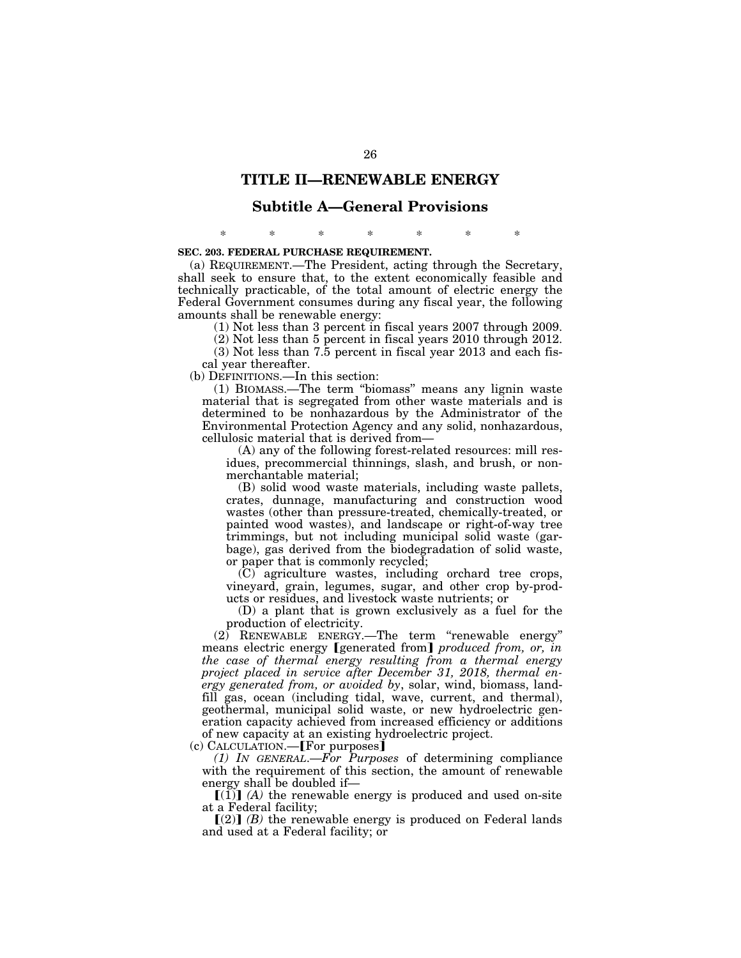# **TITLE II—RENEWABLE ENERGY**

## **Subtitle A—General Provisions**

\* \* \* \* \* \* \*

## **SEC. 203. FEDERAL PURCHASE REQUIREMENT.**

(a) REQUIREMENT.—The President, acting through the Secretary, shall seek to ensure that, to the extent economically feasible and technically practicable, of the total amount of electric energy the Federal Government consumes during any fiscal year, the following amounts shall be renewable energy:

(1) Not less than 3 percent in fiscal years 2007 through 2009.

(2) Not less than 5 percent in fiscal years 2010 through 2012.

(3) Not less than 7.5 percent in fiscal year 2013 and each fis-

cal year thereafter.

(b) DEFINITIONS.—In this section:

(1) BIOMASS.—The term ''biomass'' means any lignin waste material that is segregated from other waste materials and is determined to be nonhazardous by the Administrator of the Environmental Protection Agency and any solid, nonhazardous, cellulosic material that is derived from—

(A) any of the following forest-related resources: mill residues, precommercial thinnings, slash, and brush, or nonmerchantable material;

(B) solid wood waste materials, including waste pallets, crates, dunnage, manufacturing and construction wood wastes (other than pressure-treated, chemically-treated, or painted wood wastes), and landscape or right-of-way tree trimmings, but not including municipal solid waste (garbage), gas derived from the biodegradation of solid waste, or paper that is commonly recycled;

(C) agriculture wastes, including orchard tree crops, vineyard, grain, legumes, sugar, and other crop by-products or residues, and livestock waste nutrients; or

(D) a plant that is grown exclusively as a fuel for the production of electricity.

 $(2)$  RENEWABLE ENERGY.—The term "renewable energy" means electric energy *[generated from] produced from, or, in the case of thermal energy resulting from a thermal energy project placed in service after December 31, 2018, thermal energy generated from, or avoided by*, solar, wind, biomass, landfill gas, ocean (including tidal, wave, current, and thermal), geothermal, municipal solid waste, or new hydroelectric generation capacity achieved from increased efficiency or additions of new capacity at an existing hydroelectric project.

 $(c)$  CALCULATION.—**For purposes** 

*(1) IN GENERAL*.—*For Purposes* of determining compliance with the requirement of this section, the amount of renewable energy shall be doubled if—

 $\lceil (1) \rceil$  (A) the renewable energy is produced and used on-site at a Federal facility;

 $\lceil (2) \rceil$  *(B)* the renewable energy is produced on Federal lands and used at a Federal facility; or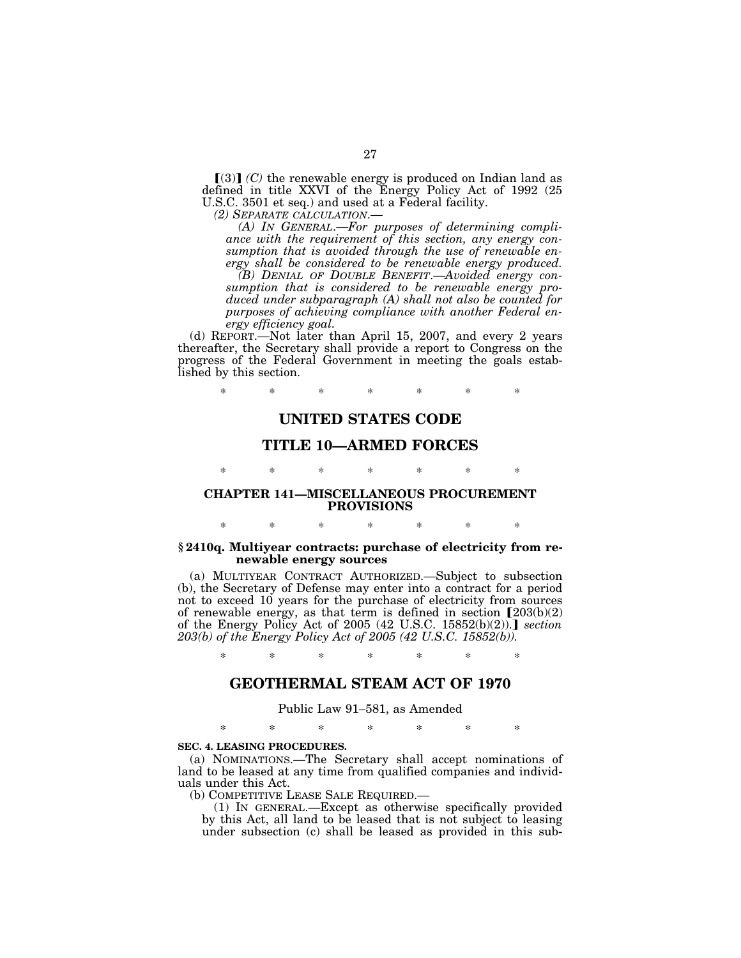$(3)$  $(C)$  the renewable energy is produced on Indian land as defined in title XXVI of the Energy Policy Act of 1992 (25 U.S.C. 3501 et seq.) and used at a Federal facility.<br>(2) SEPARATE CALCULATION.—

*(A)* In GENERAL.—For purposes of determining compli*ance with the requirement of this section, any energy consumption that is avoided through the use of renewable energy shall be considered to be renewable energy produced.* 

*(B) DENIAL OF DOUBLE BENEFIT*.—*Avoided energy consumption that is considered to be renewable energy produced under subparagraph (A) shall not also be counted for purposes of achieving compliance with another Federal energy efficiency goal.* 

(d) REPORT.—Not later than April 15, 2007, and every 2 years thereafter, the Secretary shall provide a report to Congress on the progress of the Federal Government in meeting the goals established by this section.

\* \* \* \* \* \* \*

# **UNITED STATES CODE**

# **TITLE 10—ARMED FORCES**

# \* \* \* \* \* \* \* **CHAPTER 141—MISCELLANEOUS PROCUREMENT PROVISIONS**

## **§ 2410q. Multiyear contracts: purchase of electricity from renewable energy sources**

\* \* \* \* \* \* \*

(a) MULTIYEAR CONTRACT AUTHORIZED.—Subject to subsection (b), the Secretary of Defense may enter into a contract for a period not to exceed 10 years for the purchase of electricity from sources of renewable energy, as that term is defined in section  $[203(b)(2)]$ of the Energy Policy Act of 2005 (42 U.S.C. 15852(b)(2)).] *section 203(b) of the Energy Policy Act of 2005 (42 U.S.C. 15852(b)).* 

\* \* \* \* \* \* \*

## **GEOTHERMAL STEAM ACT OF 1970**

## Public Law 91–581, as Amended

\* \* \* \* \* \* \*

### **SEC. 4. LEASING PROCEDURES.**

(a) NOMINATIONS.—The Secretary shall accept nominations of land to be leased at any time from qualified companies and individuals under this Act.<br>(b) COMPETITIVE LEASE SALE REQUIRED.—

 $(1)$  In GENERAL.—Except as otherwise specifically provided. by this Act, all land to be leased that is not subject to leasing under subsection (c) shall be leased as provided in this sub-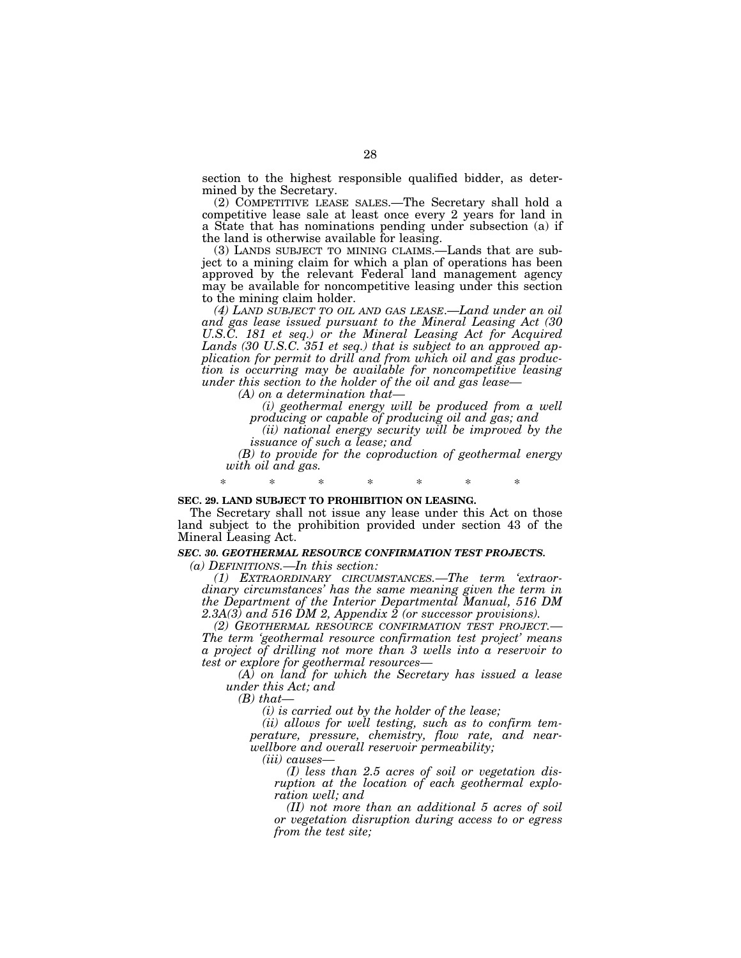section to the highest responsible qualified bidder, as determined by the Secretary.

(2) COMPETITIVE LEASE SALES.—The Secretary shall hold a competitive lease sale at least once every 2 years for land in a State that has nominations pending under subsection (a) if the land is otherwise available for leasing.

(3) LANDS SUBJECT TO MINING CLAIMS.—Lands that are subject to a mining claim for which a plan of operations has been approved by the relevant Federal land management agency may be available for noncompetitive leasing under this section to the mining claim holder.

*(4) LAND SUBJECT TO OIL AND GAS LEASE*.—*Land under an oil and gas lease issued pursuant to the Mineral Leasing Act (30*  U.S.C. 181 et seq.) or the Mineral Leasing Act for Acquired *Lands (30 U.S.C. 351 et seq.) that is subject to an approved application for permit to drill and from which oil and gas production is occurring may be available for noncompetitive leasing under this section to the holder of the oil and gas lease—* 

*(A) on a determination that—* 

*(i) geothermal energy will be produced from a well producing or capable of producing oil and gas; and* 

*(ii) national energy security will be improved by the issuance of such a lease; and* 

*(B) to provide for the coproduction of geothermal energy with oil and gas.* 

#### **SEC. 29. LAND SUBJECT TO PROHIBITION ON LEASING.**

The Secretary shall not issue any lease under this Act on those land subject to the prohibition provided under section 43 of the Mineral Leasing Act.

\* \* \* \* \* \* \*

## *SEC. 30. GEOTHERMAL RESOURCE CONFIRMATION TEST PROJECTS.*

*(a) DEFINITIONS.—In this section:* 

*(1) EXTRAORDINARY CIRCUMSTANCES.—The term 'extraordinary circumstances' has the same meaning given the term in the Department of the Interior Departmental Manual, 516 DM 2.3A(3) and 516 DM 2, Appendix 2 (or successor provisions).* 

*(2) GEOTHERMAL RESOURCE CONFIRMATION TEST PROJECT.— The term 'geothermal resource confirmation test project' means a project of drilling not more than 3 wells into a reservoir to test or explore for geothermal resources—* 

*(A) on land for which the Secretary has issued a lease under this Act; and* 

*(B) that—* 

*(i) is carried out by the holder of the lease;* 

*(ii) allows for well testing, such as to confirm temperature, pressure, chemistry, flow rate, and nearwellbore and overall reservoir permeability;* 

*(iii) causes—* 

*(I) less than 2.5 acres of soil or vegetation disruption at the location of each geothermal exploration well; and* 

*(II) not more than an additional 5 acres of soil or vegetation disruption during access to or egress from the test site;*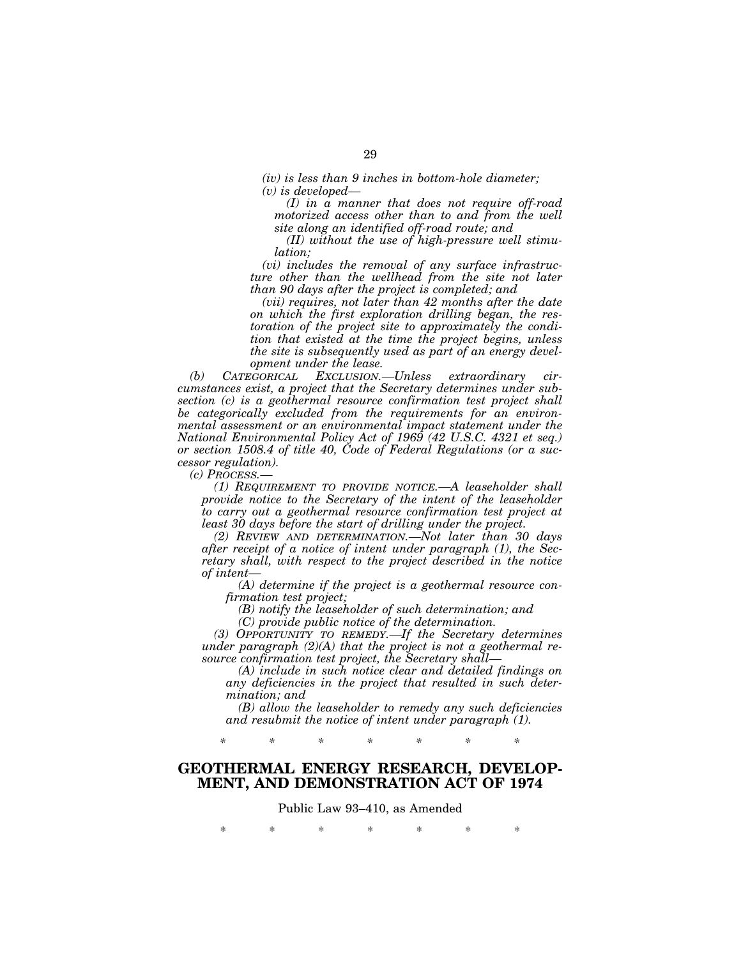*(iv) is less than 9 inches in bottom-hole diameter; (v) is developed—* 

*(I) in a manner that does not require off-road motorized access other than to and from the well site along an identified off-road route; and* 

*(II) without the use of high-pressure well stimulation;* 

*(vi) includes the removal of any surface infrastructure other than the wellhead from the site not later than 90 days after the project is completed; and* 

*(vii) requires, not later than 42 months after the date on which the first exploration drilling began, the restoration of the project site to approximately the condition that existed at the time the project begins, unless the site is subsequently used as part of an energy development under the lease.* 

*(b) CATEGORICAL EXCLUSION.—Unless extraordinary circumstances exist, a project that the Secretary determines under subsection (c) is a geothermal resource confirmation test project shall be categorically excluded from the requirements for an environmental assessment or an environmental impact statement under the National Environmental Policy Act of 1969 (42 U.S.C. 4321 et seq.) or section 1508.4 of title 40, Code of Federal Regulations (or a successor regulation).* 

*(c) PROCESS.—* 

*(1) REQUIREMENT TO PROVIDE NOTICE.—A leaseholder shall provide notice to the Secretary of the intent of the leaseholder to carry out a geothermal resource confirmation test project at least 30 days before the start of drilling under the project.* 

*(2) REVIEW AND DETERMINATION.—Not later than 30 days after receipt of a notice of intent under paragraph (1), the Secretary shall, with respect to the project described in the notice of intent—* 

*(A) determine if the project is a geothermal resource confirmation test project;* 

*(B) notify the leaseholder of such determination; and* 

*(C) provide public notice of the determination.* 

*(3) OPPORTUNITY TO REMEDY.—If the Secretary determines under paragraph (2)(A) that the project is not a geothermal resource confirmation test project, the Secretary shall—* 

*(A) include in such notice clear and detailed findings on any deficiencies in the project that resulted in such determination; and* 

*(B) allow the leaseholder to remedy any such deficiencies and resubmit the notice of intent under paragraph (1).* 

*\* \* \* \* \* \* \** 

# **GEOTHERMAL ENERGY RESEARCH, DEVELOP-MENT, AND DEMONSTRATION ACT OF 1974**

Public Law 93–410, as Amended

\* \* \* \* \* \* \*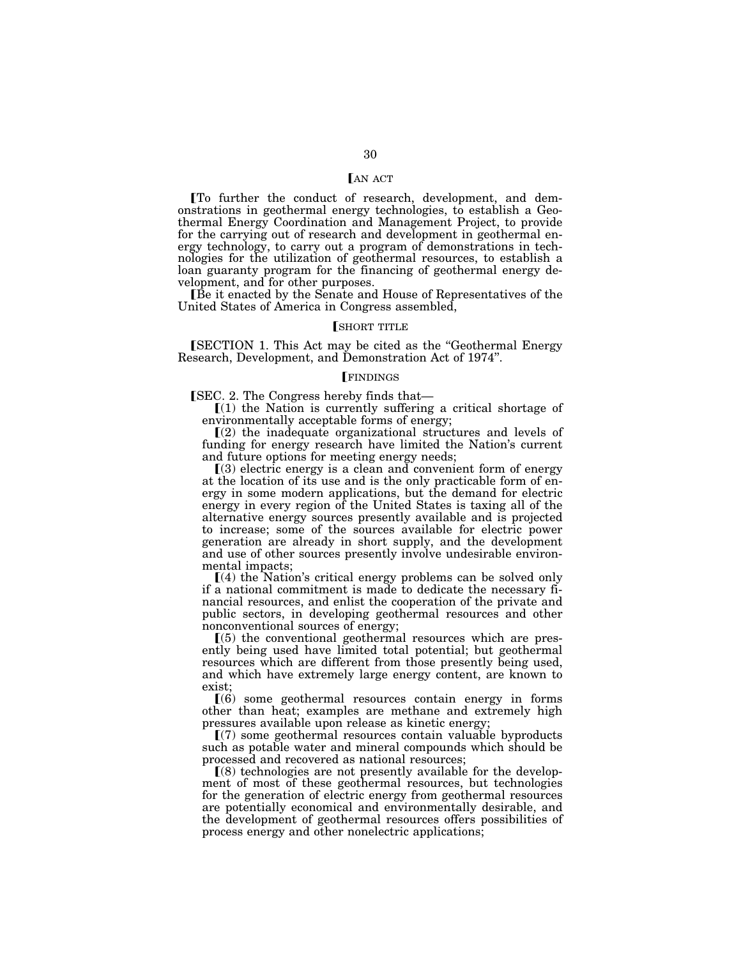## **LAN ACT**

øTo further the conduct of research, development, and demonstrations in geothermal energy technologies, to establish a Geothermal Energy Coordination and Management Project, to provide for the carrying out of research and development in geothermal energy technology, to carry out a program of demonstrations in technologies for the utilization of geothermal resources, to establish a loan guaranty program for the financing of geothermal energy development, and for other purposes.

<sup>Be</sup> it enacted by the Senate and House of Representatives of the United States of America in Congress assembled,

## **SHORT TITLE**

[SECTION 1. This Act may be cited as the "Geothermal Energy Research, Development, and Demonstration Act of 1974''.

### **FINDINGS**

**SEC.** 2. The Congress hereby finds that—

 $(1)$  the Nation is currently suffering a critical shortage of environmentally acceptable forms of energy;

 $(2)$  the inadequate organizational structures and levels of funding for energy research have limited the Nation's current and future options for meeting energy needs;

 $(3)$  electric energy is a clean and convenient form of energy at the location of its use and is the only practicable form of energy in some modern applications, but the demand for electric energy in every region of the United States is taxing all of the alternative energy sources presently available and is projected to increase; some of the sources available for electric power generation are already in short supply, and the development and use of other sources presently involve undesirable environmental impacts;

 $(4)$  the Nation's critical energy problems can be solved only if a national commitment is made to dedicate the necessary financial resources, and enlist the cooperation of the private and public sectors, in developing geothermal resources and other nonconventional sources of energy;

 $(5)$  the conventional geothermal resources which are presently being used have limited total potential; but geothermal resources which are different from those presently being used, and which have extremely large energy content, are known to exist;

 $(6)$  some geothermal resources contain energy in forms other than heat; examples are methane and extremely high pressures available upon release as kinetic energy;

ø(7) some geothermal resources contain valuable byproducts such as potable water and mineral compounds which should be processed and recovered as national resources;

 $(8)$  technologies are not presently available for the development of most of these geothermal resources, but technologies for the generation of electric energy from geothermal resources are potentially economical and environmentally desirable, and the development of geothermal resources offers possibilities of process energy and other nonelectric applications;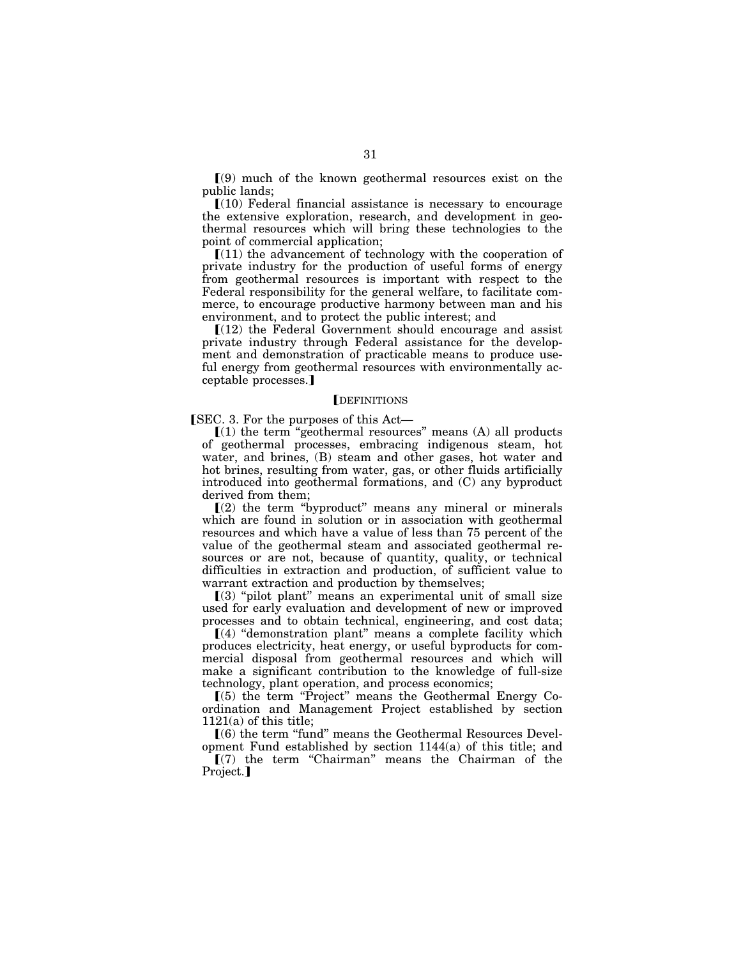$(9)$  much of the known geothermal resources exist on the public lands;

 $(10)$  Federal financial assistance is necessary to encourage the extensive exploration, research, and development in geothermal resources which will bring these technologies to the point of commercial application;

 $(11)$  the advancement of technology with the cooperation of private industry for the production of useful forms of energy from geothermal resources is important with respect to the Federal responsibility for the general welfare, to facilitate commerce, to encourage productive harmony between man and his environment, and to protect the public interest; and

 $(12)$  the Federal Government should encourage and assist private industry through Federal assistance for the development and demonstration of practicable means to produce useful energy from geothermal resources with environmentally acceptable processes.]

#### **DEFINITIONS**

[SEC. 3. For the purposes of this Act—

 $(1)$  the term "geothermal resources" means  $(A)$  all products of geothermal processes, embracing indigenous steam, hot water, and brines, (B) steam and other gases, hot water and hot brines, resulting from water, gas, or other fluids artificially introduced into geothermal formations, and (C) any byproduct derived from them;

 $\Gamma(2)$  the term "byproduct" means any mineral or minerals which are found in solution or in association with geothermal resources and which have a value of less than 75 percent of the value of the geothermal steam and associated geothermal resources or are not, because of quantity, quality, or technical difficulties in extraction and production, of sufficient value to warrant extraction and production by themselves;

 $(3)$  "pilot plant" means an experimental unit of small size used for early evaluation and development of new or improved processes and to obtain technical, engineering, and cost data;

 $(a)$  "demonstration plant" means a complete facility which produces electricity, heat energy, or useful byproducts for commercial disposal from geothermal resources and which will make a significant contribution to the knowledge of full-size technology, plant operation, and process economics;

 $(5)$  the term "Project" means the Geothermal Energy Coordination and Management Project established by section 1121(a) of this title;

ø(6) the term ''fund'' means the Geothermal Resources Devel-

opment Fund established by section 1144(a) of this title; and  $(7)$  the term "Chairman" means the Chairman of the Project.]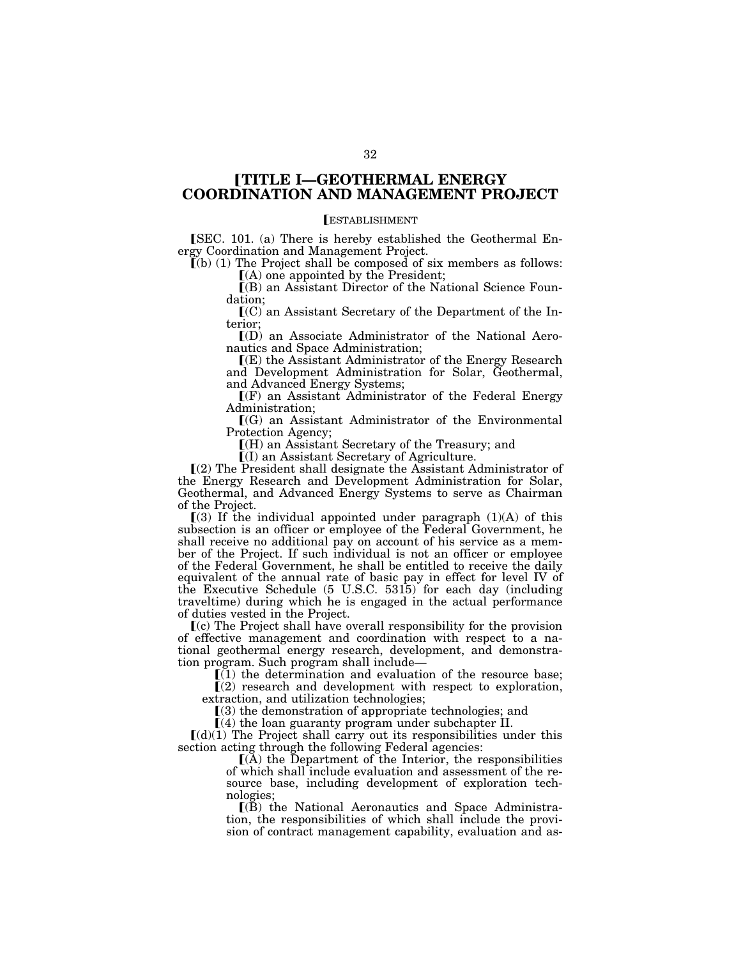# ø**TITLE I—GEOTHERMAL ENERGY COORDINATION AND MANAGEMENT PROJECT**

## **ESTABLISHMENT**

**SEC.** 101. (a) There is hereby established the Geothermal Energy Coordination and Management Project.

 $\tilde{\mathbf{I}}(\mathbf{b})$  (1) The Project shall be composed of six members as follows: ø(A) one appointed by the President;

 $\Gamma(B)$  an Assistant Director of the National Science Foundation;

 $(C)$  an Assistant Secretary of the Department of the Interior;

ø(D) an Associate Administrator of the National Aeronautics and Space Administration;

 $\mathbb{I}(E)$  the Assistant Administrator of the Energy Research and Development Administration for Solar, Geothermal, and Advanced Energy Systems;

 $\Gamma(F)$  an Assistant Administrator of the Federal Energy Administration;

 $\Gamma(G)$  an Assistant Administrator of the Environmental Protection Agency;

ø(H) an Assistant Secretary of the Treasury; and

ø(I) an Assistant Secretary of Agriculture.

 $(a)$  The President shall designate the Assistant Administrator of the Energy Research and Development Administration for Solar, Geothermal, and Advanced Energy Systems to serve as Chairman of the Project.

 $(3)$  If the individual appointed under paragraph  $(1)(A)$  of this subsection is an officer or employee of the Federal Government, he shall receive no additional pay on account of his service as a member of the Project. If such individual is not an officer or employee of the Federal Government, he shall be entitled to receive the daily equivalent of the annual rate of basic pay in effect for level IV of the Executive Schedule (5 U.S.C. 5315) for each day (including traveltime) during which he is engaged in the actual performance of duties vested in the Project.

ø(c) The Project shall have overall responsibility for the provision of effective management and coordination with respect to a national geothermal energy research, development, and demonstration program. Such program shall include—

 $(i)$  the determination and evaluation of the resource base;

 $\Gamma(2)$  research and development with respect to exploration, extraction, and utilization technologies;

 $(3)$  the demonstration of appropriate technologies; and

 $(4)$  the loan guaranty program under subchapter II.

 $(d)(1)$  The Project shall carry out its responsibilities under this section acting through the following Federal agencies:<br>  $[(A)$  the Department of the Interior, the responsibilities

of which shall include evaluation and assessment of the resource base, including development of exploration technologies;

 $(R)$  the National Aeronautics and Space Administration, the responsibilities of which shall include the provision of contract management capability, evaluation and as-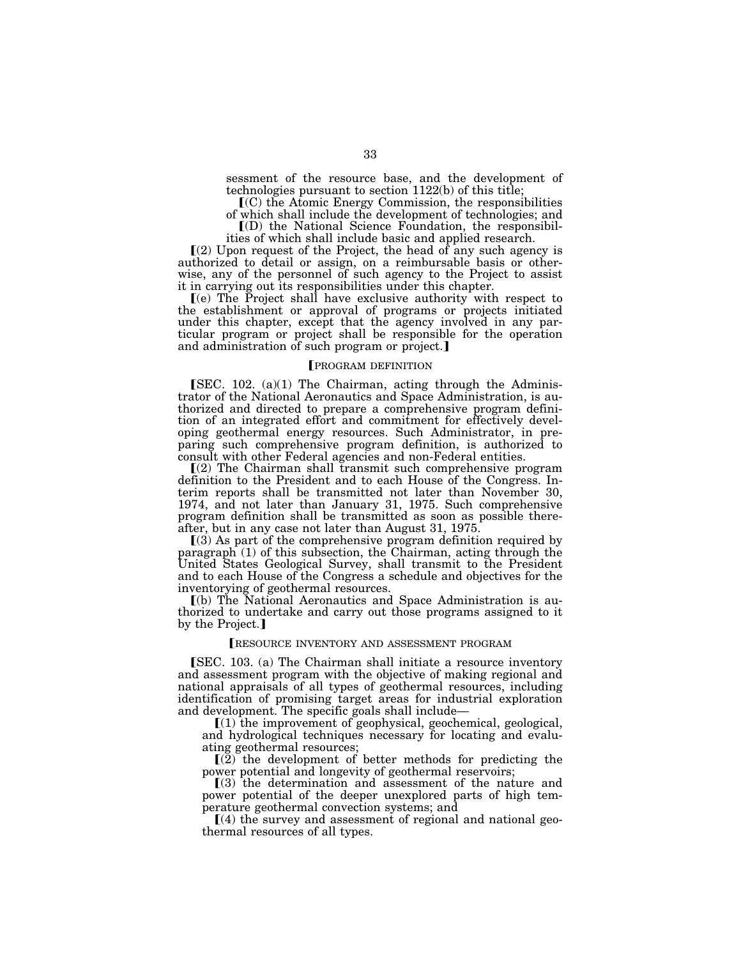sessment of the resource base, and the development of technologies pursuant to section 1122(b) of this title;

 $\mathbf{I}(\mathbf{C})$  the Atomic Energy Commission, the responsibilities

of which shall include the development of technologies; and

 $I(D)$  the National Science Foundation, the responsibilities of which shall include basic and applied research.

 $(2)$  Upon request of the Project, the head of any such agency is authorized to detail or assign, on a reimbursable basis or otherwise, any of the personnel of such agency to the Project to assist it in carrying out its responsibilities under this chapter.

ø(e) The Project shall have exclusive authority with respect to the establishment or approval of programs or projects initiated under this chapter, except that the agency involved in any particular program or project shall be responsible for the operation and administration of such program or project.

## **FROGRAM DEFINITION**

 $[SEC. 102. (a)(1) The Chairman, acting through the Adminis$ trator of the National Aeronautics and Space Administration, is authorized and directed to prepare a comprehensive program definition of an integrated effort and commitment for effectively developing geothermal energy resources. Such Administrator, in preparing such comprehensive program definition, is authorized to consult with other Federal agencies and non-Federal entities.

 $(2)$  The Chairman shall transmit such comprehensive program definition to the President and to each House of the Congress. Interim reports shall be transmitted not later than November 30, 1974, and not later than January 31, 1975. Such comprehensive program definition shall be transmitted as soon as possible thereafter, but in any case not later than August 31, 1975.

 $(3)$  As part of the comprehensive program definition required by paragraph (1) of this subsection, the Chairman, acting through the United States Geological Survey, shall transmit to the President and to each House of the Congress a schedule and objectives for the inventorying of geothermal resources.

ø(b) The National Aeronautics and Space Administration is authorized to undertake and carry out those programs assigned to it by the Project.]

### RESOURCE INVENTORY AND ASSESSMENT PROGRAM

**[SEC. 103. (a) The Chairman shall initiate a resource inventory** and assessment program with the objective of making regional and national appraisals of all types of geothermal resources, including identification of promising target areas for industrial exploration and development. The specific goals shall include—

 $[(1)$  the improvement of geophysical, geochemical, geological, and hydrological techniques necessary for locating and evaluating geothermal resources;

 $\left[\frac{2}{2}\right]$  the development of better methods for predicting the power potential and longevity of geothermal reservoirs;

 $(3)$  the determination and assessment of the nature and power potential of the deeper unexplored parts of high temperature geothermal convection systems; and

 $\lceil(4)$  the survey and assessment of regional and national geothermal resources of all types.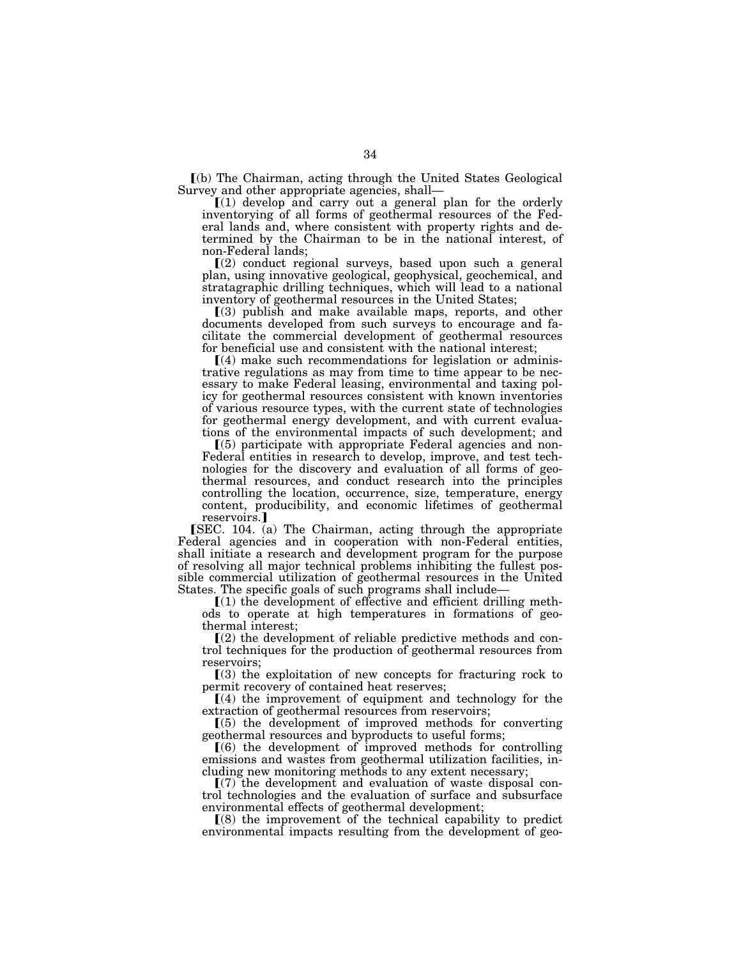ø(b) The Chairman, acting through the United States Geological Survey and other appropriate agencies, shall—

 $(1)$  develop and carry out a general plan for the orderly inventorying of all forms of geothermal resources of the Federal lands and, where consistent with property rights and determined by the Chairman to be in the national interest, of non-Federal lands;

 $(2)$  conduct regional surveys, based upon such a general plan, using innovative geological, geophysical, geochemical, and stratagraphic drilling techniques, which will lead to a national inventory of geothermal resources in the United States;

 $(3)$  publish and make available maps, reports, and other documents developed from such surveys to encourage and facilitate the commercial development of geothermal resources for beneficial use and consistent with the national interest;

 $(4)$  make such recommendations for legislation or administrative regulations as may from time to time appear to be necessary to make Federal leasing, environmental and taxing policy for geothermal resources consistent with known inventories of various resource types, with the current state of technologies for geothermal energy development, and with current evaluations of the environmental impacts of such development; and

 $(5)$  participate with appropriate Federal agencies and non-Federal entities in research to develop, improve, and test technologies for the discovery and evaluation of all forms of geothermal resources, and conduct research into the principles controlling the location, occurrence, size, temperature, energy content, producibility, and economic lifetimes of geothermal reservoirs.]

[SEC. 104. (a) The Chairman, acting through the appropriate Federal agencies and in cooperation with non-Federal entities, shall initiate a research and development program for the purpose of resolving all major technical problems inhibiting the fullest possible commercial utilization of geothermal resources in the United States. The specific goals of such programs shall include—

 $(1)$  the development of effective and efficient drilling methods to operate at high temperatures in formations of geothermal interest;

 $\Gamma(2)$  the development of reliable predictive methods and control techniques for the production of geothermal resources from reservoirs;

 $(3)$  the exploitation of new concepts for fracturing rock to permit recovery of contained heat reserves;

 $(4)$  the improvement of equipment and technology for the extraction of geothermal resources from reservoirs;

 $(5)$  the development of improved methods for converting geothermal resources and byproducts to useful forms;<br>  $[(6)$  the development of improved methods for controlling

emissions and wastes from geothermal utilization facilities, including new monitoring methods to any extent necessary;

 $(7)$  the development and evaluation of waste disposal control technologies and the evaluation of surface and subsurface environmental effects of geothermal development;

 $(8)$  the improvement of the technical capability to predict environmental impacts resulting from the development of geo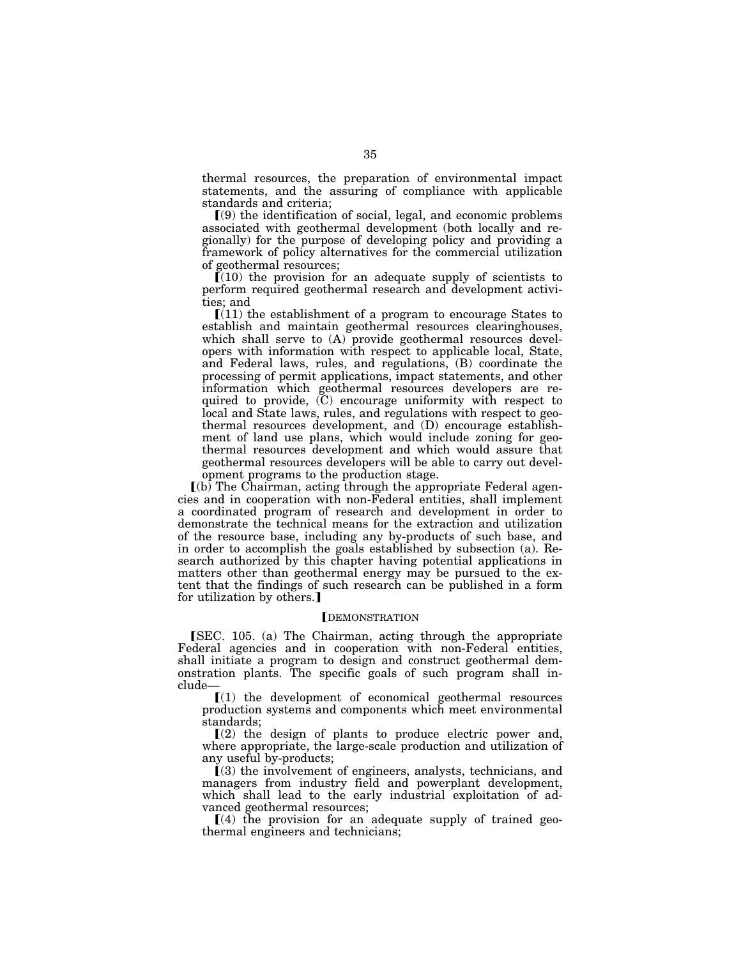thermal resources, the preparation of environmental impact statements, and the assuring of compliance with applicable standards and criteria;

 $(9)$  the identification of social, legal, and economic problems associated with geothermal development (both locally and regionally) for the purpose of developing policy and providing a framework of policy alternatives for the commercial utilization of geothermal resources;

 $(10)$  the provision for an adequate supply of scientists to perform required geothermal research and development activities; and

 $(11)$  the establishment of a program to encourage States to establish and maintain geothermal resources clearinghouses, which shall serve to (A) provide geothermal resources developers with information with respect to applicable local, State, and Federal laws, rules, and regulations, (B) coordinate the processing of permit applications, impact statements, and other information which geothermal resources developers are required to provide, (C) encourage uniformity with respect to local and State laws, rules, and regulations with respect to geothermal resources development, and (D) encourage establishment of land use plans, which would include zoning for geothermal resources development and which would assure that geothermal resources developers will be able to carry out development programs to the production stage.

 $(6)$  The Chairman, acting through the appropriate Federal agencies and in cooperation with non-Federal entities, shall implement a coordinated program of research and development in order to demonstrate the technical means for the extraction and utilization of the resource base, including any by-products of such base, and in order to accomplish the goals established by subsection (a). Research authorized by this chapter having potential applications in matters other than geothermal energy may be pursued to the extent that the findings of such research can be published in a form for utilization by others.]

### **IDEMONSTRATION**

[SEC. 105. (a) The Chairman, acting through the appropriate Federal agencies and in cooperation with non-Federal entities, shall initiate a program to design and construct geothermal demonstration plants. The specific goals of such program shall include—

 $[(1)$  the development of economical geothermal resources production systems and components which meet environmental standards;

 $(2)$  the design of plants to produce electric power and, where appropriate, the large-scale production and utilization of any useful by-products;

 $(3)$  the involvement of engineers, analysts, technicians, and managers from industry field and powerplant development, which shall lead to the early industrial exploitation of advanced geothermal resources;

 $(4)$  the provision for an adequate supply of trained geothermal engineers and technicians;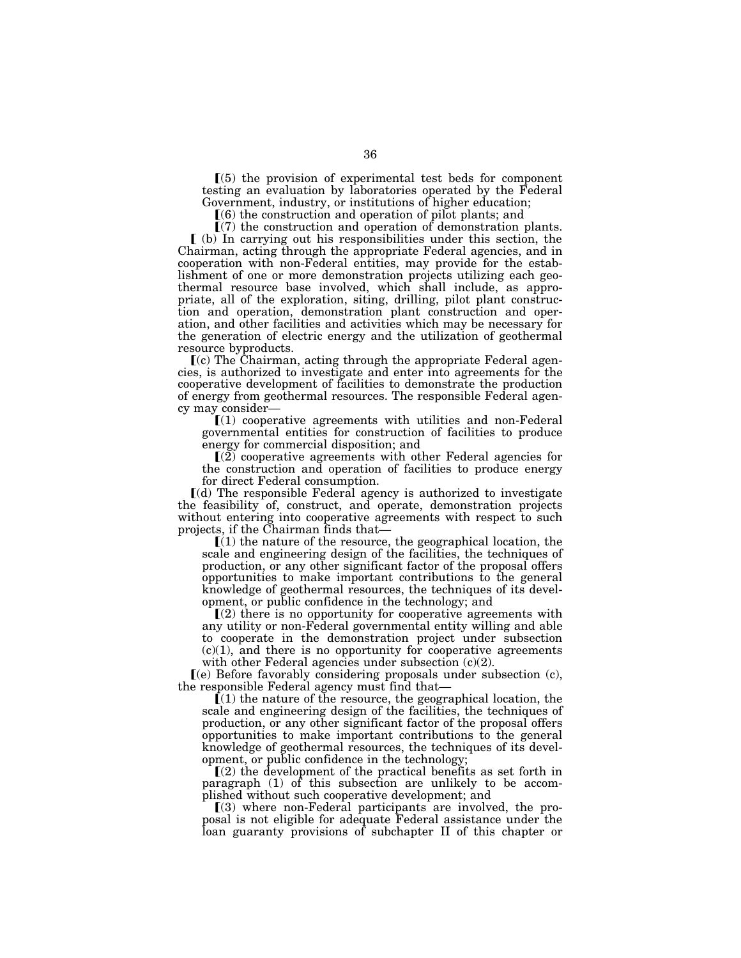$(5)$  the provision of experimental test beds for component testing an evaluation by laboratories operated by the Federal Government, industry, or institutions of higher education;

 $(6)$  the construction and operation of pilot plants; and

 $(7)$  the construction and operation of demonstration plants.  $\lceil$  (b) In carrying out his responsibilities under this section, the Chairman, acting through the appropriate Federal agencies, and in cooperation with non-Federal entities, may provide for the establishment of one or more demonstration projects utilizing each geothermal resource base involved, which shall include, as appropriate, all of the exploration, siting, drilling, pilot plant construction and operation, demonstration plant construction and operation, and other facilities and activities which may be necessary for the generation of electric energy and the utilization of geothermal resource byproducts.

 $(c)$  The Chairman, acting through the appropriate Federal agencies, is authorized to investigate and enter into agreements for the cooperative development of facilities to demonstrate the production of energy from geothermal resources. The responsible Federal agency may consider—

 $(1)$  cooperative agreements with utilities and non-Federal governmental entities for construction of facilities to produce energy for commercial disposition; and

 $(2)$  cooperative agreements with other Federal agencies for the construction and operation of facilities to produce energy for direct Federal consumption.

ø(d) The responsible Federal agency is authorized to investigate the feasibility of, construct, and operate, demonstration projects without entering into cooperative agreements with respect to such projects, if the Chairman finds that—

 $(1)$  the nature of the resource, the geographical location, the scale and engineering design of the facilities, the techniques of production, or any other significant factor of the proposal offers opportunities to make important contributions to the general knowledge of geothermal resources, the techniques of its development, or public confidence in the technology; and

 $(2)$  there is no opportunity for cooperative agreements with any utility or non-Federal governmental entity willing and able to cooperate in the demonstration project under subsection  $(c)(1)$ , and there is no opportunity for cooperative agreements with other Federal agencies under subsection  $(c)(2)$ .

 $(e)$  Before favorably considering proposals under subsection  $(e)$ , the responsible Federal agency must find that—

 $(1)$  the nature of the resource, the geographical location, the scale and engineering design of the facilities, the techniques of production, or any other significant factor of the proposal offers opportunities to make important contributions to the general knowledge of geothermal resources, the techniques of its development, or public confidence in the technology;

 $(2)$  the development of the practical benefits as set forth in paragraph (1) of this subsection are unlikely to be accomplished without such cooperative development; and

 $(3)$  where non-Federal participants are involved, the proposal is not eligible for adequate Federal assistance under the loan guaranty provisions of subchapter II of this chapter or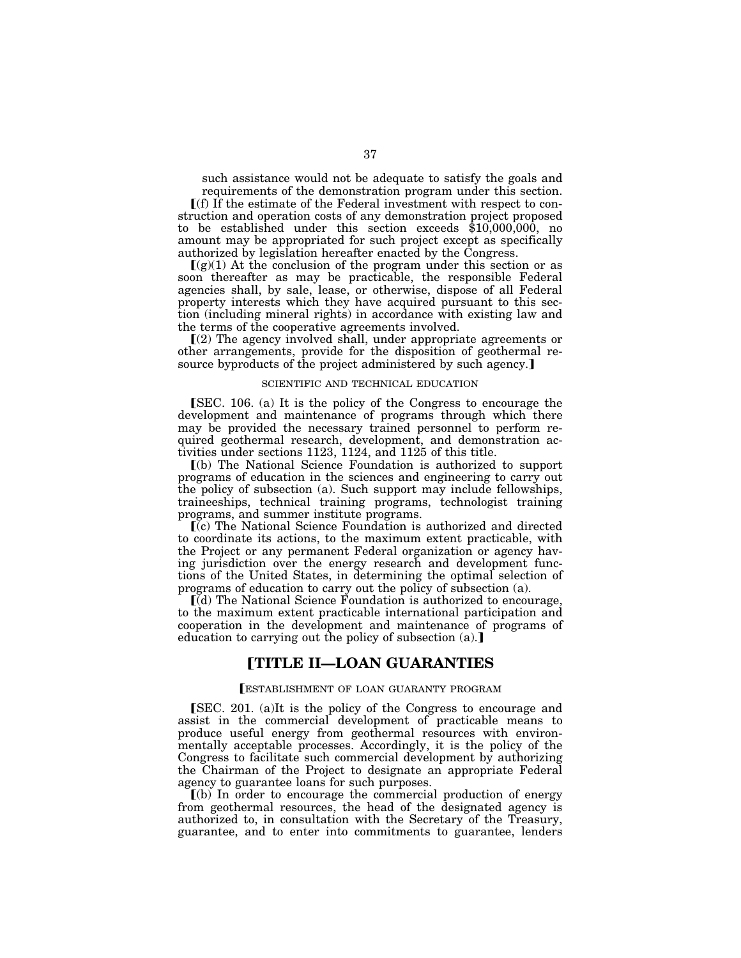such assistance would not be adequate to satisfy the goals and requirements of the demonstration program under this section.

 $\Gamma(f)$  If the estimate of the Federal investment with respect to construction and operation costs of any demonstration project proposed to be established under this section exceeds \$10,000,000, no amount may be appropriated for such project except as specifically authorized by legislation hereafter enacted by the Congress.

 $[(g)(1)$  At the conclusion of the program under this section or as soon thereafter as may be practicable, the responsible Federal agencies shall, by sale, lease, or otherwise, dispose of all Federal property interests which they have acquired pursuant to this section (including mineral rights) in accordance with existing law and the terms of the cooperative agreements involved.

ø(2) The agency involved shall, under appropriate agreements or other arrangements, provide for the disposition of geothermal resource byproducts of the project administered by such agency.]

#### SCIENTIFIC AND TECHNICAL EDUCATION

**[SEC. 106. (a)** It is the policy of the Congress to encourage the development and maintenance of programs through which there may be provided the necessary trained personnel to perform required geothermal research, development, and demonstration activities under sections 1123, 1124, and 1125 of this title.

ø(b) The National Science Foundation is authorized to support programs of education in the sciences and engineering to carry out the policy of subsection (a). Such support may include fellowships, traineeships, technical training programs, technologist training programs, and summer institute programs.

ø(c) The National Science Foundation is authorized and directed to coordinate its actions, to the maximum extent practicable, with the Project or any permanent Federal organization or agency having jurisdiction over the energy research and development functions of the United States, in determining the optimal selection of programs of education to carry out the policy of subsection (a).

 $\left[\left(\overline{d}\right)$  The National Science Foundation is authorized to encourage, to the maximum extent practicable international participation and cooperation in the development and maintenance of programs of education to carrying out the policy of subsection  $(a)$ .]

# ø**TITLE II—LOAN GUARANTIES**

### øESTABLISHMENT OF LOAN GUARANTY PROGRAM

**SEC.** 201. (a)It is the policy of the Congress to encourage and assist in the commercial development of practicable means to produce useful energy from geothermal resources with environmentally acceptable processes. Accordingly, it is the policy of the Congress to facilitate such commercial development by authorizing the Chairman of the Project to designate an appropriate Federal agency to guarantee loans for such purposes.

 $(a)$  In order to encourage the commercial production of energy from geothermal resources, the head of the designated agency is authorized to, in consultation with the Secretary of the Treasury, guarantee, and to enter into commitments to guarantee, lenders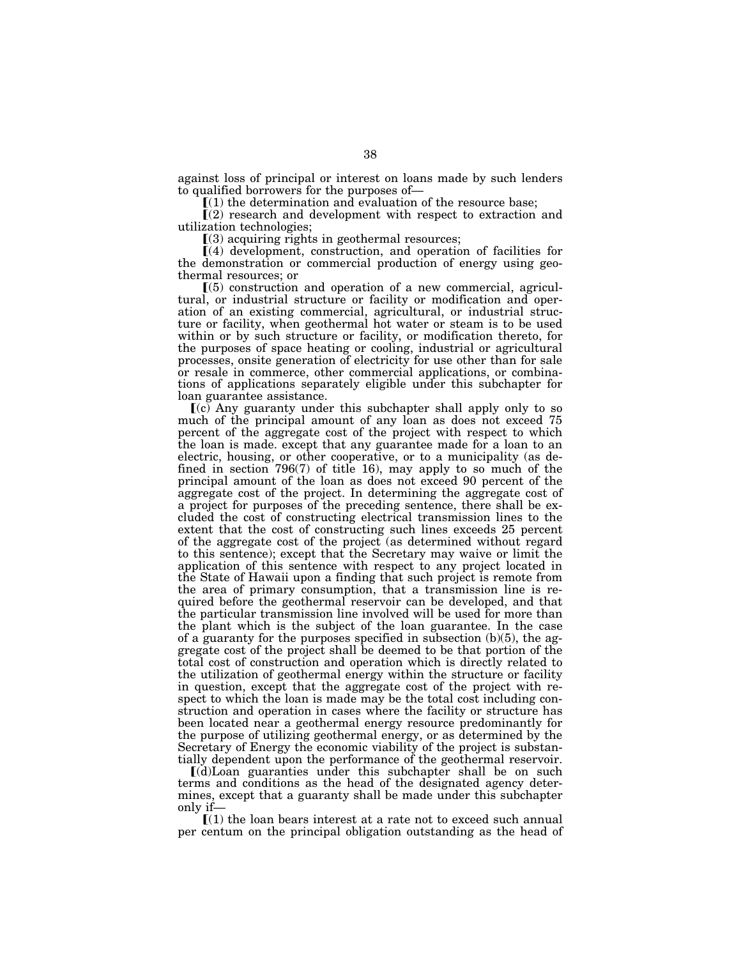against loss of principal or interest on loans made by such lenders to qualified borrowers for the purposes of—

 $(1)$  the determination and evaluation of the resource base;

 $(2)$  research and development with respect to extraction and utilization technologies;

 $(3)$  acquiring rights in geothermal resources;

 $\left[ \left( 4 \right)$  development, construction, and operation of facilities for the demonstration or commercial production of energy using geothermal resources; or

 $\Gamma(5)$  construction and operation of a new commercial, agricultural, or industrial structure or facility or modification and operation of an existing commercial, agricultural, or industrial structure or facility, when geothermal hot water or steam is to be used within or by such structure or facility, or modification thereto, for the purposes of space heating or cooling, industrial or agricultural processes, onsite generation of electricity for use other than for sale or resale in commerce, other commercial applications, or combinations of applications separately eligible under this subchapter for loan guarantee assistance.

 $(c)$  Any guaranty under this subchapter shall apply only to so much of the principal amount of any loan as does not exceed 75 percent of the aggregate cost of the project with respect to which the loan is made. except that any guarantee made for a loan to an electric, housing, or other cooperative, or to a municipality (as defined in section 796(7) of title 16), may apply to so much of the principal amount of the loan as does not exceed 90 percent of the aggregate cost of the project. In determining the aggregate cost of a project for purposes of the preceding sentence, there shall be excluded the cost of constructing electrical transmission lines to the extent that the cost of constructing such lines exceeds 25 percent of the aggregate cost of the project (as determined without regard to this sentence); except that the Secretary may waive or limit the application of this sentence with respect to any project located in the State of Hawaii upon a finding that such project is remote from the area of primary consumption, that a transmission line is required before the geothermal reservoir can be developed, and that the particular transmission line involved will be used for more than the plant which is the subject of the loan guarantee. In the case of a guaranty for the purposes specified in subsection (b)(5), the aggregate cost of the project shall be deemed to be that portion of the total cost of construction and operation which is directly related to the utilization of geothermal energy within the structure or facility in question, except that the aggregate cost of the project with respect to which the loan is made may be the total cost including construction and operation in cases where the facility or structure has been located near a geothermal energy resource predominantly for the purpose of utilizing geothermal energy, or as determined by the Secretary of Energy the economic viability of the project is substantially dependent upon the performance of the geothermal reservoir.

ø(d)Loan guaranties under this subchapter shall be on such terms and conditions as the head of the designated agency determines, except that a guaranty shall be made under this subchapter only if—

 $(1)$  the loan bears interest at a rate not to exceed such annual per centum on the principal obligation outstanding as the head of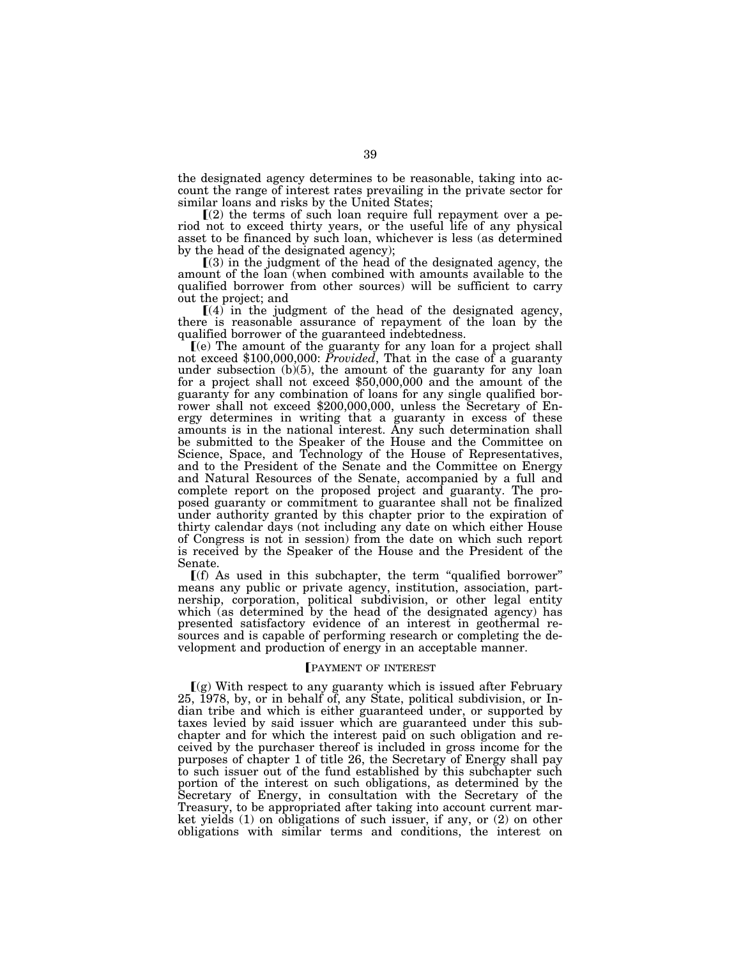the designated agency determines to be reasonable, taking into account the range of interest rates prevailing in the private sector for similar loans and risks by the United States;

 $(2)$  the terms of such loan require full repayment over a period not to exceed thirty years, or the useful life of any physical asset to be financed by such loan, whichever is less (as determined by the head of the designated agency);

 $(3)$  in the judgment of the head of the designated agency, the amount of the loan (when combined with amounts available to the qualified borrower from other sources) will be sufficient to carry out the project; and

 $(4)$  in the judgment of the head of the designated agency, there is reasonable assurance of repayment of the loan by the qualified borrower of the guaranteed indebtedness.

<sup>ø</sup>(e) The amount of the guaranty for any loan for a project shall not exceed \$100,000,000: *Provided*, That in the case of a guaranty under subsection (b)(5), the amount of the guaranty for any loan for a project shall not exceed \$50,000,000 and the amount of the guaranty for any combination of loans for any single qualified borrower shall not exceed \$200,000,000, unless the Secretary of Energy determines in writing that a guaranty in excess of these amounts is in the national interest. Any such determination shall be submitted to the Speaker of the House and the Committee on Science, Space, and Technology of the House of Representatives, and to the President of the Senate and the Committee on Energy and Natural Resources of the Senate, accompanied by a full and complete report on the proposed project and guaranty. The proposed guaranty or commitment to guarantee shall not be finalized under authority granted by this chapter prior to the expiration of thirty calendar days (not including any date on which either House of Congress is not in session) from the date on which such report is received by the Speaker of the House and the President of the Senate.

 $\Gamma(f)$  As used in this subchapter, the term "qualified borrower" means any public or private agency, institution, association, partnership, corporation, political subdivision, or other legal entity which (as determined by the head of the designated agency) has presented satisfactory evidence of an interest in geothermal resources and is capable of performing research or completing the development and production of energy in an acceptable manner.

## **FRAYMENT OF INTEREST**

 $\Gamma(g)$  With respect to any guaranty which is issued after February 25, 1978, by, or in behalf of, any State, political subdivision, or Indian tribe and which is either guaranteed under, or supported by taxes levied by said issuer which are guaranteed under this subchapter and for which the interest paid on such obligation and received by the purchaser thereof is included in gross income for the purposes of chapter 1 of title 26, the Secretary of Energy shall pay to such issuer out of the fund established by this subchapter such portion of the interest on such obligations, as determined by the Secretary of Energy, in consultation with the Secretary of the Treasury, to be appropriated after taking into account current market yields (1) on obligations of such issuer, if any, or (2) on other obligations with similar terms and conditions, the interest on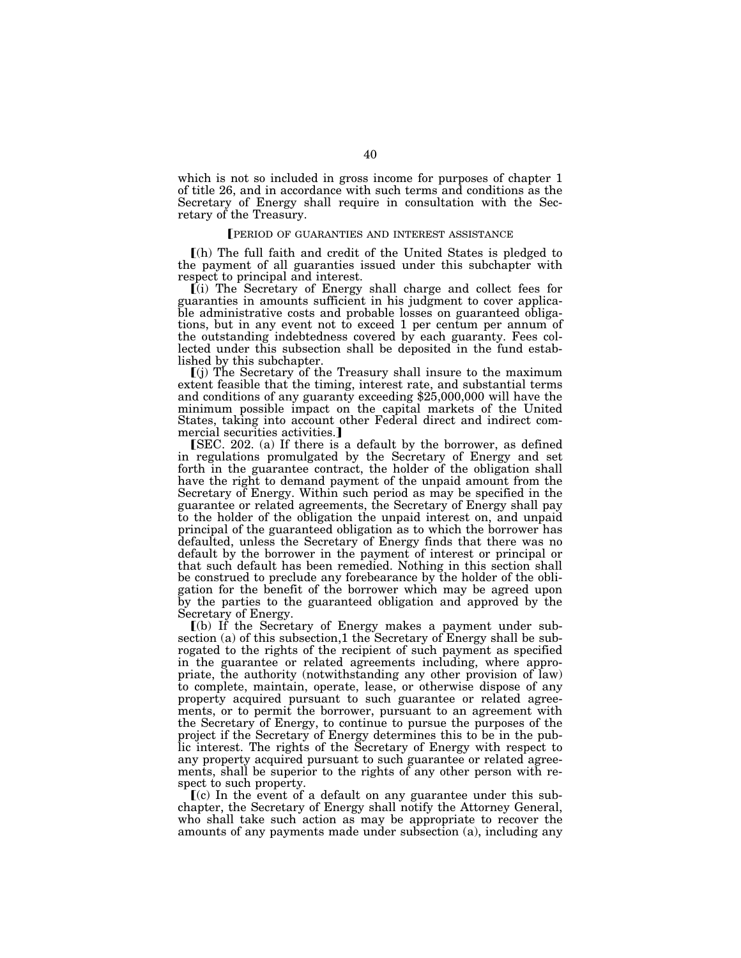which is not so included in gross income for purposes of chapter 1 of title 26, and in accordance with such terms and conditions as the Secretary of Energy shall require in consultation with the Secretary of the Treasury.

## **PERIOD OF GUARANTIES AND INTEREST ASSISTANCE**

ø(h) The full faith and credit of the United States is pledged to the payment of all guaranties issued under this subchapter with respect to principal and interest.

ø(i) The Secretary of Energy shall charge and collect fees for guaranties in amounts sufficient in his judgment to cover applicable administrative costs and probable losses on guaranteed obligations, but in any event not to exceed 1 per centum per annum of the outstanding indebtedness covered by each guaranty. Fees collected under this subsection shall be deposited in the fund established by this subchapter.

 $\left[ \begin{smallmatrix} (i) \end{smallmatrix} \right]$  The Secretary of the Treasury shall insure to the maximum extent feasible that the timing, interest rate, and substantial terms and conditions of any guaranty exceeding \$25,000,000 will have the minimum possible impact on the capital markets of the United States, taking into account other Federal direct and indirect commercial securities activities.]

[SEC. 202. (a) If there is a default by the borrower, as defined in regulations promulgated by the Secretary of Energy and set forth in the guarantee contract, the holder of the obligation shall have the right to demand payment of the unpaid amount from the Secretary of Energy. Within such period as may be specified in the guarantee or related agreements, the Secretary of Energy shall pay to the holder of the obligation the unpaid interest on, and unpaid principal of the guaranteed obligation as to which the borrower has defaulted, unless the Secretary of Energy finds that there was no default by the borrower in the payment of interest or principal or that such default has been remedied. Nothing in this section shall be construed to preclude any forebearance by the holder of the obligation for the benefit of the borrower which may be agreed upon by the parties to the guaranteed obligation and approved by the Secretary of Energy.

ø(b) If the Secretary of Energy makes a payment under subsection (a) of this subsection,1 the Secretary of Energy shall be subrogated to the rights of the recipient of such payment as specified in the guarantee or related agreements including, where appropriate, the authority (notwithstanding any other provision of law) to complete, maintain, operate, lease, or otherwise dispose of any property acquired pursuant to such guarantee or related agreements, or to permit the borrower, pursuant to an agreement with the Secretary of Energy, to continue to pursue the purposes of the project if the Secretary of Energy determines this to be in the public interest. The rights of the Secretary of Energy with respect to any property acquired pursuant to such guarantee or related agreements, shall be superior to the rights of any other person with respect to such property.

 $(c)$  In the event of a default on any guarantee under this subchapter, the Secretary of Energy shall notify the Attorney General, who shall take such action as may be appropriate to recover the amounts of any payments made under subsection (a), including any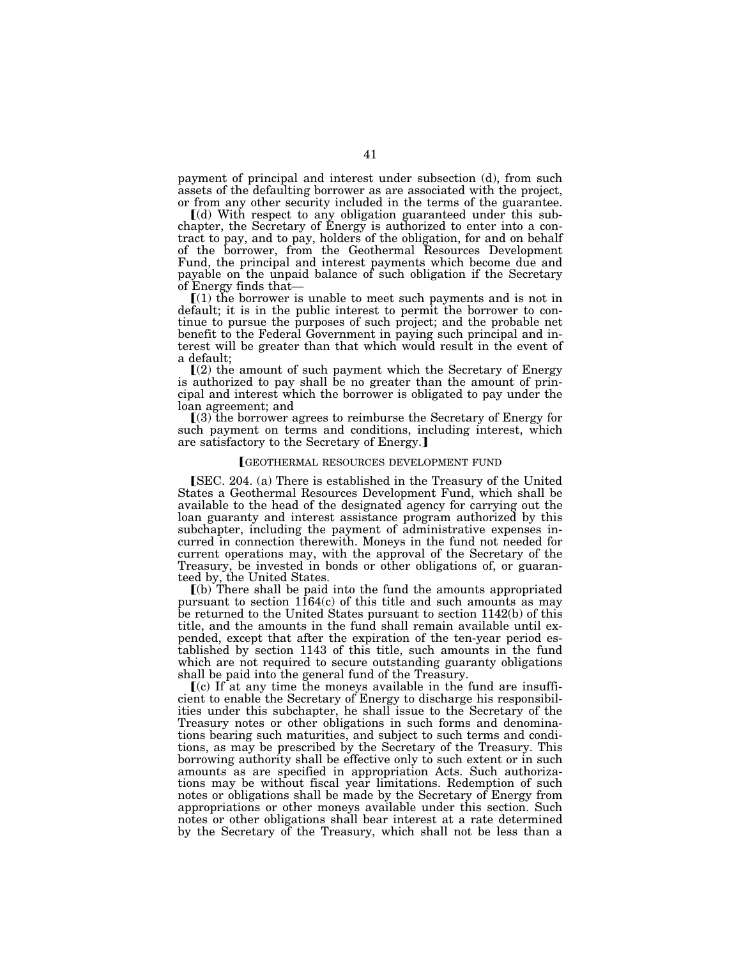payment of principal and interest under subsection (d), from such assets of the defaulting borrower as are associated with the project, or from any other security included in the terms of the guarantee.

ø(d) With respect to any obligation guaranteed under this subchapter, the Secretary of Energy is authorized to enter into a contract to pay, and to pay, holders of the obligation, for and on behalf of the borrower, from the Geothermal Resources Development Fund, the principal and interest payments which become due and payable on the unpaid balance of such obligation if the Secretary of Energy finds that—

 $(1)$  the borrower is unable to meet such payments and is not in default; it is in the public interest to permit the borrower to continue to pursue the purposes of such project; and the probable net benefit to the Federal Government in paying such principal and interest will be greater than that which would result in the event of a default;

 $(2)$  the amount of such payment which the Secretary of Energy is authorized to pay shall be no greater than the amount of principal and interest which the borrower is obligated to pay under the loan agreement; and

 $(3)$  the borrower agrees to reimburse the Secretary of Energy for such payment on terms and conditions, including interest, which are satisfactory to the Secretary of Energy.

#### øGEOTHERMAL RESOURCES DEVELOPMENT FUND

**[SEC. 204. (a) There is established in the Treasury of the United** States a Geothermal Resources Development Fund, which shall be available to the head of the designated agency for carrying out the loan guaranty and interest assistance program authorized by this subchapter, including the payment of administrative expenses incurred in connection therewith. Moneys in the fund not needed for current operations may, with the approval of the Secretary of the Treasury, be invested in bonds or other obligations of, or guaranteed by, the United States.

 $(a)$  There shall be paid into the fund the amounts appropriated pursuant to section 1164(c) of this title and such amounts as may be returned to the United States pursuant to section 1142(b) of this title, and the amounts in the fund shall remain available until expended, except that after the expiration of the ten-year period established by section 1143 of this title, such amounts in the fund which are not required to secure outstanding guaranty obligations shall be paid into the general fund of the Treasury.

 $\mathbf{f}(c)$  If at any time the moneys available in the fund are insufficient to enable the Secretary of Energy to discharge his responsibilities under this subchapter, he shall issue to the Secretary of the Treasury notes or other obligations in such forms and denominations bearing such maturities, and subject to such terms and conditions, as may be prescribed by the Secretary of the Treasury. This borrowing authority shall be effective only to such extent or in such amounts as are specified in appropriation Acts. Such authorizations may be without fiscal year limitations. Redemption of such notes or obligations shall be made by the Secretary of Energy from appropriations or other moneys available under this section. Such notes or other obligations shall bear interest at a rate determined by the Secretary of the Treasury, which shall not be less than a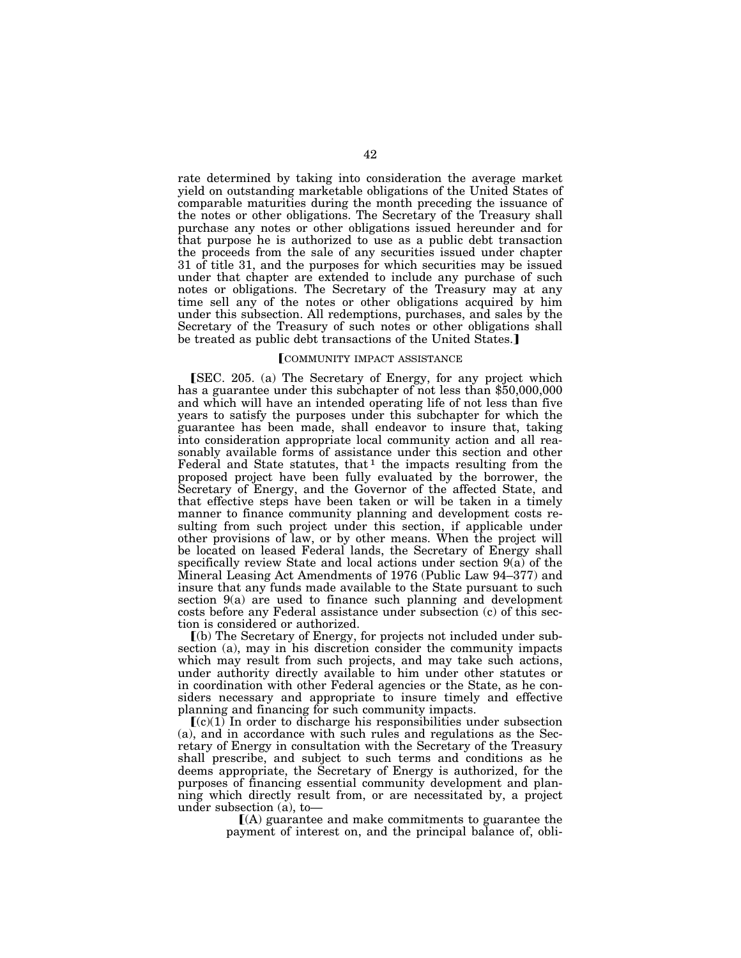rate determined by taking into consideration the average market yield on outstanding marketable obligations of the United States of comparable maturities during the month preceding the issuance of the notes or other obligations. The Secretary of the Treasury shall purchase any notes or other obligations issued hereunder and for that purpose he is authorized to use as a public debt transaction the proceeds from the sale of any securities issued under chapter 31 of title 31, and the purposes for which securities may be issued under that chapter are extended to include any purchase of such notes or obligations. The Secretary of the Treasury may at any time sell any of the notes or other obligations acquired by him under this subsection. All redemptions, purchases, and sales by the Secretary of the Treasury of such notes or other obligations shall be treated as public debt transactions of the United States.]

## **[COMMUNITY IMPACT ASSISTANCE**

[SEC. 205. (a) The Secretary of Energy, for any project which has a guarantee under this subchapter of not less than \$50,000,000 and which will have an intended operating life of not less than five years to satisfy the purposes under this subchapter for which the guarantee has been made, shall endeavor to insure that, taking into consideration appropriate local community action and all reasonably available forms of assistance under this section and other Federal and State statutes, that  $1$  the impacts resulting from the proposed project have been fully evaluated by the borrower, the Secretary of Energy, and the Governor of the affected State, and that effective steps have been taken or will be taken in a timely manner to finance community planning and development costs resulting from such project under this section, if applicable under other provisions of law, or by other means. When the project will be located on leased Federal lands, the Secretary of Energy shall specifically review State and local actions under section 9(a) of the Mineral Leasing Act Amendments of 1976 (Public Law 94–377) and insure that any funds made available to the State pursuant to such section 9(a) are used to finance such planning and development costs before any Federal assistance under subsection (c) of this section is considered or authorized.

ø(b) The Secretary of Energy, for projects not included under subsection (a), may in his discretion consider the community impacts which may result from such projects, and may take such actions, under authority directly available to him under other statutes or in coordination with other Federal agencies or the State, as he considers necessary and appropriate to insure timely and effective planning and financing for such community impacts.

 $(c)(1)$  In order to discharge his responsibilities under subsection (a), and in accordance with such rules and regulations as the Secretary of Energy in consultation with the Secretary of the Treasury shall prescribe, and subject to such terms and conditions as he deems appropriate, the Secretary of Energy is authorized, for the purposes of financing essential community development and planning which directly result from, or are necessitated by, a project under subsection (a), to—

> $(A)$  guarantee and make commitments to guarantee the payment of interest on, and the principal balance of, obli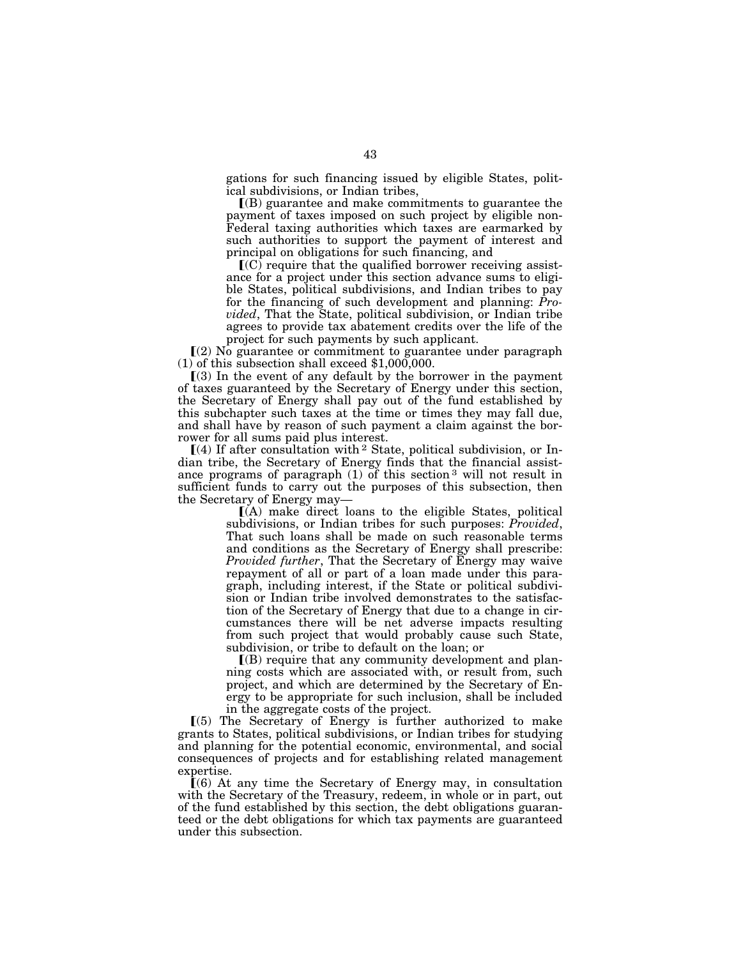gations for such financing issued by eligible States, political subdivisions, or Indian tribes,

 $(6)$  guarantee and make commitments to guarantee the payment of taxes imposed on such project by eligible non-Federal taxing authorities which taxes are earmarked by such authorities to support the payment of interest and principal on obligations for such financing, and

 $\mathbb{I}(C)$  require that the qualified borrower receiving assistance for a project under this section advance sums to eligible States, political subdivisions, and Indian tribes to pay for the financing of such development and planning: *Provided*, That the State, political subdivision, or Indian tribe agrees to provide tax abatement credits over the life of the project for such payments by such applicant.

 $(2)$  No guarantee or commitment to guarantee under paragraph (1) of this subsection shall exceed \$1,000,000.

 $(3)$  In the event of any default by the borrower in the payment of taxes guaranteed by the Secretary of Energy under this section, the Secretary of Energy shall pay out of the fund established by this subchapter such taxes at the time or times they may fall due, and shall have by reason of such payment a claim against the borrower for all sums paid plus interest.

 $[(4)$  If after consultation with <sup>2</sup> State, political subdivision, or Indian tribe, the Secretary of Energy finds that the financial assistance programs of paragraph  $(1)$  of this section <sup>3</sup> will not result in sufficient funds to carry out the purposes of this subsection, then the Secretary of Energy may—

 $(A)$  make direct loans to the eligible States, political subdivisions, or Indian tribes for such purposes: *Provided*, That such loans shall be made on such reasonable terms and conditions as the Secretary of Energy shall prescribe: *Provided further*, That the Secretary of Energy may waive repayment of all or part of a loan made under this paragraph, including interest, if the State or political subdivision or Indian tribe involved demonstrates to the satisfaction of the Secretary of Energy that due to a change in circumstances there will be net adverse impacts resulting from such project that would probably cause such State, subdivision, or tribe to default on the loan; or

 $(6)$  require that any community development and planning costs which are associated with, or result from, such project, and which are determined by the Secretary of Energy to be appropriate for such inclusion, shall be included in the aggregate costs of the project.

 $(5)$  The Secretary of Energy is further authorized to make grants to States, political subdivisions, or Indian tribes for studying and planning for the potential economic, environmental, and social consequences of projects and for establishing related management expertise.

 $(6)$  At any time the Secretary of Energy may, in consultation with the Secretary of the Treasury, redeem, in whole or in part, out of the fund established by this section, the debt obligations guaranteed or the debt obligations for which tax payments are guaranteed under this subsection.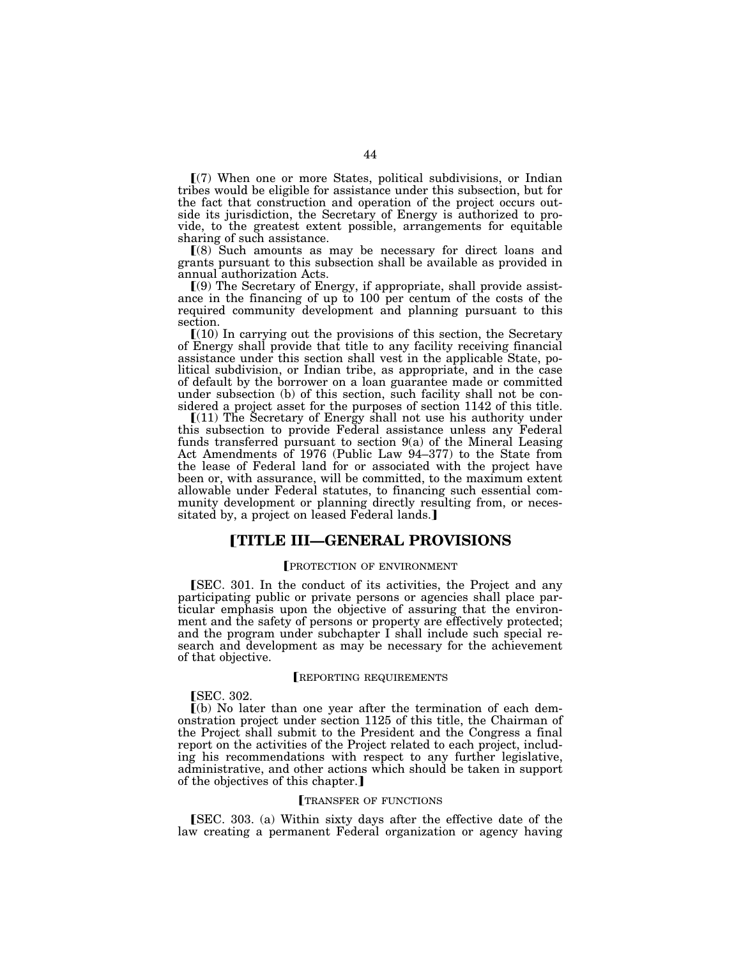$(7)$  When one or more States, political subdivisions, or Indian tribes would be eligible for assistance under this subsection, but for the fact that construction and operation of the project occurs outside its jurisdiction, the Secretary of Energy is authorized to provide, to the greatest extent possible, arrangements for equitable sharing of such assistance.

ø(8) Such amounts as may be necessary for direct loans and grants pursuant to this subsection shall be available as provided in annual authorization Acts.

 $(9)$  The Secretary of Energy, if appropriate, shall provide assistance in the financing of up to 100 per centum of the costs of the required community development and planning pursuant to this section.

 $(10)$  In carrying out the provisions of this section, the Secretary of Energy shall provide that title to any facility receiving financial assistance under this section shall vest in the applicable State, political subdivision, or Indian tribe, as appropriate, and in the case of default by the borrower on a loan guarantee made or committed under subsection (b) of this section, such facility shall not be considered a project asset for the purposes of section 1142 of this title.

 $[(11)$  The Secretary of Energy shall not use his authority under this subsection to provide Federal assistance unless any Federal funds transferred pursuant to section 9(a) of the Mineral Leasing Act Amendments of 1976 (Public Law 94–377) to the State from the lease of Federal land for or associated with the project have been or, with assurance, will be committed, to the maximum extent allowable under Federal statutes, to financing such essential community development or planning directly resulting from, or necessitated by, a project on leased Federal lands.

# ø**TITLE III—GENERAL PROVISIONS**

## PROTECTION OF ENVIRONMENT

**SEC.** 301. In the conduct of its activities, the Project and any participating public or private persons or agencies shall place particular emphasis upon the objective of assuring that the environment and the safety of persons or property are effectively protected; and the program under subchapter I shall include such special research and development as may be necessary for the achievement of that objective.

### **[REPORTING REQUIREMENTS**

## **SEC.** 302.

 $\lceil$ (b) No later than one year after the termination of each demonstration project under section 1125 of this title, the Chairman of the Project shall submit to the President and the Congress a final report on the activities of the Project related to each project, including his recommendations with respect to any further legislative, administrative, and other actions which should be taken in support of the objectives of this chapter.

#### TRANSFER OF FUNCTIONS

**SEC.** 303. (a) Within sixty days after the effective date of the law creating a permanent Federal organization or agency having